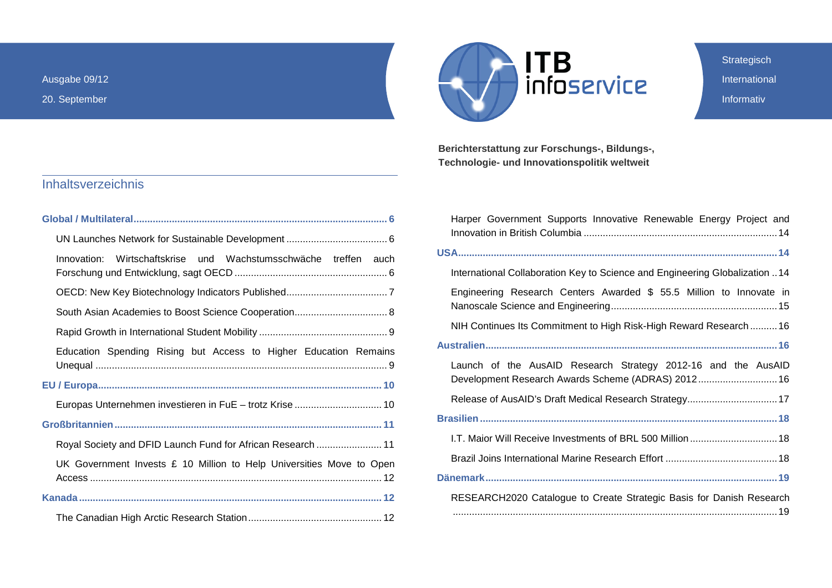Ausgabe 09/12

20. September



**Strategisch** International Informativ

**Berichterstattung zur Forschungs-, Bildungs-, Technologie- und Innovationspolitik weltweit**

<span id="page-0-0"></span>

| Wirtschaftskrise und Wachstumsschwäche treffen auch<br>Innovation:     |
|------------------------------------------------------------------------|
|                                                                        |
|                                                                        |
|                                                                        |
| Education Spending Rising but Access to Higher Education Remains       |
|                                                                        |
|                                                                        |
|                                                                        |
| Royal Society and DFID Launch Fund for African Research  11            |
| UK Government Invests $E$ 10 Million to Help Universities Move to Open |
|                                                                        |
|                                                                        |

| Harper Government Supports Innovative Renewable Energy Project and                                                  |
|---------------------------------------------------------------------------------------------------------------------|
|                                                                                                                     |
| International Collaboration Key to Science and Engineering Globalization  14                                        |
| Engineering Research Centers Awarded \$ 55.5 Million to Innovate in                                                 |
| NIH Continues Its Commitment to High Risk-High Reward Research16                                                    |
|                                                                                                                     |
| Launch of the AusAID Research Strategy 2012-16 and the AusAID<br>Development Research Awards Scheme (ADRAS) 2012 16 |
| Release of AusAID's Draft Medical Research Strategy 17                                                              |
|                                                                                                                     |
| 1.T. Maior Will Receive Investments of BRL 500 Million  18                                                          |
|                                                                                                                     |
|                                                                                                                     |
| RESEARCH2020 Catalogue to Create Strategic Basis for Danish Research                                                |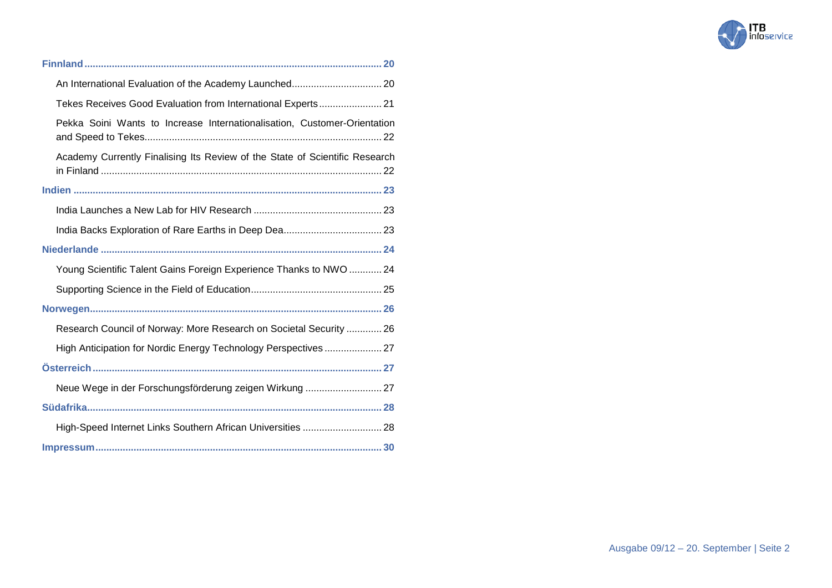

| Tekes Receives Good Evaluation from International Experts 21                |  |
|-----------------------------------------------------------------------------|--|
| Pekka Soini Wants to Increase Internationalisation, Customer-Orientation    |  |
| Academy Currently Finalising Its Review of the State of Scientific Research |  |
|                                                                             |  |
|                                                                             |  |
|                                                                             |  |
|                                                                             |  |
| Young Scientific Talent Gains Foreign Experience Thanks to NWO  24          |  |
|                                                                             |  |
|                                                                             |  |
| Research Council of Norway: More Research on Societal Security  26          |  |
| High Anticipation for Nordic Energy Technology Perspectives  27             |  |
|                                                                             |  |
| Neue Wege in der Forschungsförderung zeigen Wirkung  27                     |  |
|                                                                             |  |
| High-Speed Internet Links Southern African Universities  28                 |  |
|                                                                             |  |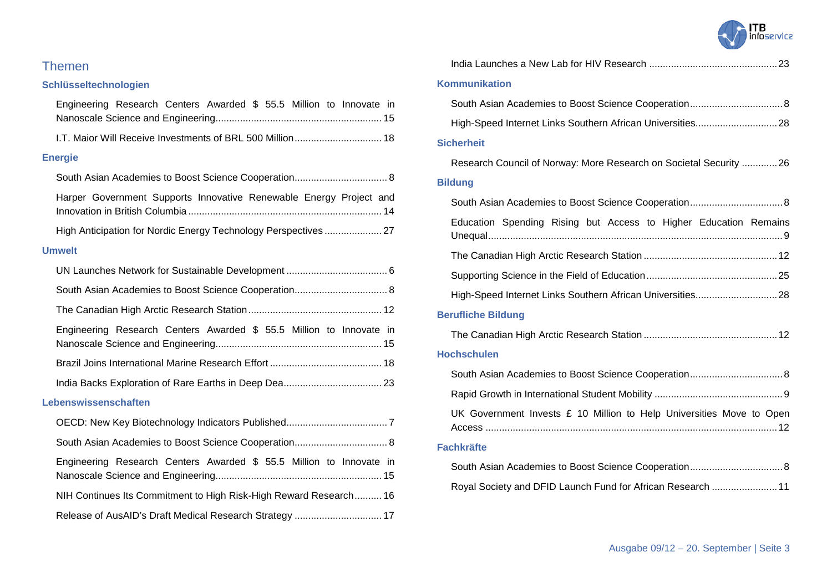### Themen

### **Schlüsseltechnologien**

| Engineering Research Centers Awarded \$ 55.5 Million to Innovate in |
|---------------------------------------------------------------------|
| 1.T. Maior Will Receive Investments of BRL 500 Million 18           |
| <b>Energie</b>                                                      |
| South Asian Academies to Boost Science Cooperation 8                |
| Harper Government Supports Innovative Renewable Energy Project and  |
|                                                                     |
| <b>Umwelt</b>                                                       |
|                                                                     |
|                                                                     |
|                                                                     |
| Engineering Research Centers Awarded \$ 55.5 Million to Innovate in |
|                                                                     |
|                                                                     |
| Lebenswissenschaften                                                |
|                                                                     |
|                                                                     |
| Engineering Research Centers Awarded \$ 55.5 Million to Innovate in |
| NIH Continues Its Commitment to High Risk-High Reward Research 16   |
| Release of AusAID's Draft Medical Research Strategy  17             |

|  | <b>ITB</b><br>infoservice |
|--|---------------------------|
|--|---------------------------|

| <b>Kommunikation</b>                                                 |
|----------------------------------------------------------------------|
|                                                                      |
|                                                                      |
| <b>Sicherheit</b>                                                    |
| Research Council of Norway: More Research on Societal Security 26    |
| <b>Bildung</b>                                                       |
|                                                                      |
| Education Spending Rising but Access to Higher Education Remains     |
|                                                                      |
|                                                                      |
|                                                                      |
| <b>Berufliche Bildung</b>                                            |
|                                                                      |
| <b>Hochschulen</b>                                                   |
|                                                                      |
|                                                                      |
| UK Government Invests £ 10 Million to Help Universities Move to Open |
| <b>Fachkräfte</b>                                                    |
|                                                                      |
| Royal Society and DFID Launch Fund for African Research  11          |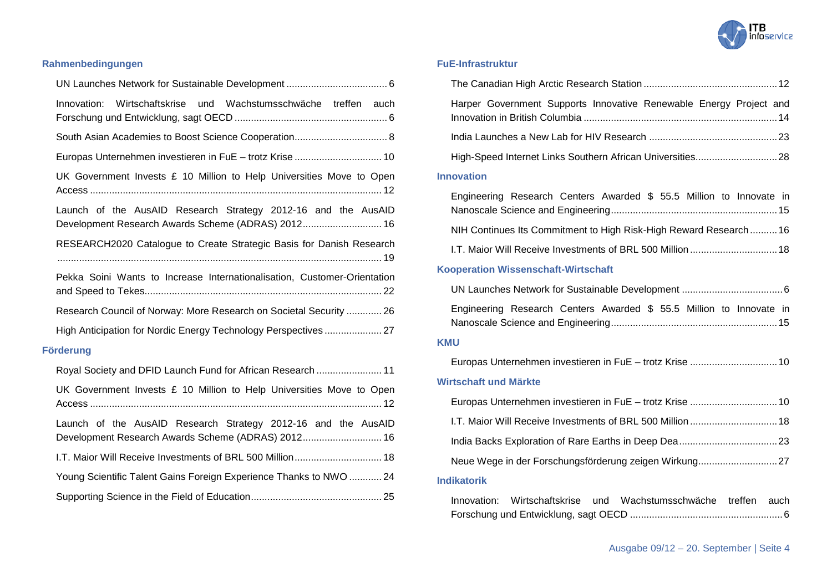

### **Rahmenbedingungen**

| Innovation: Wirtschaftskrise und Wachstumsschwäche treffen auch                                                     |
|---------------------------------------------------------------------------------------------------------------------|
|                                                                                                                     |
|                                                                                                                     |
| UK Government Invests $E$ 10 Million to Help Universities Move to Open                                              |
| Launch of the AusAID Research Strategy 2012-16 and the AusAID<br>Development Research Awards Scheme (ADRAS) 2012 16 |
| RESEARCH2020 Catalogue to Create Strategic Basis for Danish Research                                                |
| Pekka Soini Wants to Increase Internationalisation, Customer-Orientation                                            |
| Research Council of Norway: More Research on Societal Security  26                                                  |
| High Anticipation for Nordic Energy Technology Perspectives 27                                                      |
| <b>Förderung</b>                                                                                                    |
| Royal Society and DFID Launch Fund for African Research  11                                                         |
| UK Government Invests $E$ 10 Million to Help Universities Move to Open                                              |
| Launch of the AusAID Research Strategy 2012-16 and the AusAID<br>Development Research Awards Scheme (ADRAS) 2012 16 |
| 1.T. Maior Will Receive Investments of BRL 500 Million 18                                                           |
| Young Scientific Talent Gains Foreign Experience Thanks to NWO  24                                                  |

### **FuE-Infrastruktur**

| Harper Government Supports Innovative Renewable Energy Project and          |
|-----------------------------------------------------------------------------|
|                                                                             |
|                                                                             |
| <b>Innovation</b>                                                           |
| Engineering Research Centers Awarded \$ 55.5 Million to Innovate in         |
| NIH Continues Its Commitment to High Risk-High Reward Research16            |
|                                                                             |
| <b>Kooperation Wissenschaft-Wirtschaft</b>                                  |
|                                                                             |
| Engineering Research Centers Awarded \$ 55.5 Million to Innovate in         |
| <b>KMU</b>                                                                  |
|                                                                             |
| <b>Wirtschaft und Märkte</b>                                                |
|                                                                             |
| I.T. Maior Will Receive Investments of BRL 500 Million  18                  |
|                                                                             |
|                                                                             |
| <b>Indikatorik</b>                                                          |
| Wachstumsschwäche<br>Innovation: Wirtschaftskrise<br>treffen<br>und<br>auch |

[Forschung und Entwicklung, sagt OECD](#page-5-2) .......................................................[.6](#page-5-2)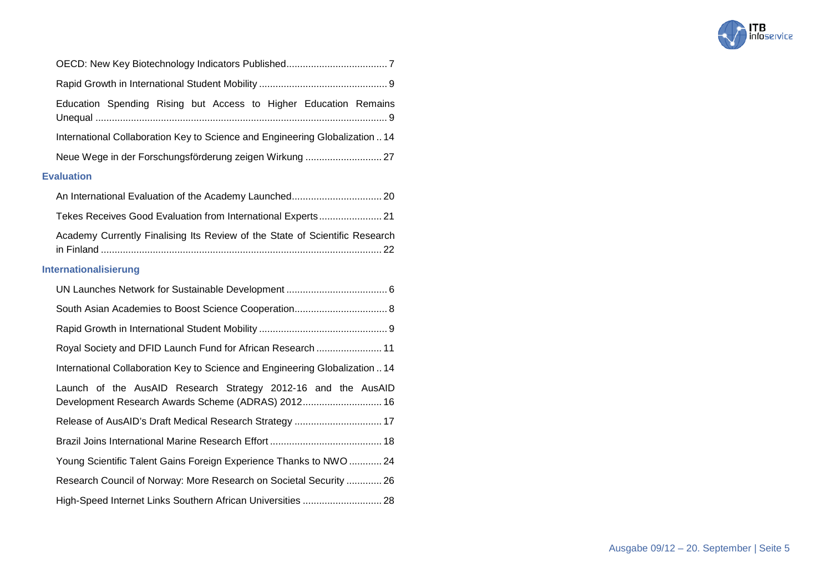

| Education Spending Rising but Access to Higher Education Remains                                                    |
|---------------------------------------------------------------------------------------------------------------------|
| International Collaboration Key to Science and Engineering Globalization  14                                        |
|                                                                                                                     |
| <b>Evaluation</b>                                                                                                   |
|                                                                                                                     |
| Tekes Receives Good Evaluation from International Experts 21                                                        |
| Academy Currently Finalising Its Review of the State of Scientific Research                                         |
| Internationalisierung                                                                                               |
|                                                                                                                     |
| South Asian Academies to Boost Science Cooperation 8                                                                |
|                                                                                                                     |
| Royal Society and DFID Launch Fund for African Research  11                                                         |
| International Collaboration Key to Science and Engineering Globalization  14                                        |
| Launch of the AusAID Research Strategy 2012-16 and the AusAID<br>Development Research Awards Scheme (ADRAS) 2012 16 |
| Release of AusAID's Draft Medical Research Strategy  17                                                             |
|                                                                                                                     |
| Young Scientific Talent Gains Foreign Experience Thanks to NWO  24                                                  |
| Research Council of Norway: More Research on Societal Security  26                                                  |
|                                                                                                                     |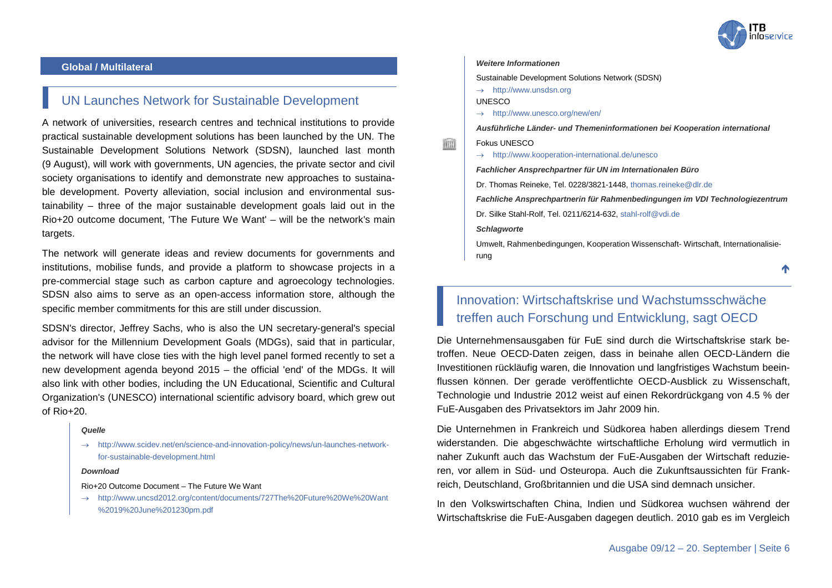

#### <span id="page-5-0"></span>**Global / Multilateral**

### <span id="page-5-1"></span>UN Launches Network for Sustainable Development

A network of universities, research centres and technical institutions to provide practical sustainable development solutions has been launched by the UN. The Sustainable Development Solutions Network (SDSN), launched last month (9 August), will work with governments, UN agencies, the private sector and civil society organisations to identify and demonstrate new approaches to sustainable development. Poverty alleviation, social inclusion and environmental sustainability – three of the major sustainable development goals laid out in the Rio+20 outcome document, 'The Future We Want' – will be the network's main targets.

The network will generate ideas and review documents for governments and institutions, mobilise funds, and provide a platform to showcase projects in a pre-commercial stage such as carbon capture and agroecology technologies. SDSN also aims to serve as an open-access information store, although the specific member commitments for this are still under discussion.

SDSN's director, Jeffrey Sachs, who is also the UN secretary-general's special advisor for the Millennium Development Goals (MDGs), said that in particular, the network will have close ties with the high level panel formed recently to set a new development agenda beyond 2015 – the official 'end' of the MDGs. It will also link with other bodies, including the UN Educational, Scientific and Cultural Organization's (UNESCO) international scientific advisory board, which grew out of Rio+20.

#### *Quelle*

→ [http://www.scidev.net/en/science-and-innovation-policy/news/un-launches-network](http://www.scidev.net/en/science-and-innovation-policy/news/un-launches-network-for-sustainable-development.html)[for-sustainable-development.html](http://www.scidev.net/en/science-and-innovation-policy/news/un-launches-network-for-sustainable-development.html)

#### *Download*

#### Rio+20 Outcome Document – The Future We Want

→ [http://www.uncsd2012.org/content/documents/727The%20Future%20We%20Want](http://www.uncsd2012.org/content/documents/727The%20Future%20We%20Want%2019%20June%201230pm.pdf) [%2019%20June%201230pm.pdf](http://www.uncsd2012.org/content/documents/727The%20Future%20We%20Want%2019%20June%201230pm.pdf)

#### *Weitere Informationen*

Sustainable Development Solutions Network (SDSN)

 $\rightarrow$  [http://www.unsdsn.org](http://www.unsdsn.org/)

UNESCO

→ <http://www.unesco.org/new/en/>

*Ausführliche Länder- und Themeninformationen bei Kooperation international*

#### Fokus UNESCO

→ <http://www.kooperation-international.de/unesco>

*Fachlicher Ansprechpartner für UN im Internationalen Büro*

Dr. Thomas Reineke, Tel. 0228/3821-1448, [thomas.reineke@dlr.de](mailto:thomas.reineke@dlr.de)

*Fachliche Ansprechpartnerin für Rahmenbedingungen im VDI Technologiezentrum*

Dr. Silke Stahl-Rolf, Tel. 0211/6214-632, [stahl-rolf@vdi.de](mailto:stahl-rolf@vdi.de)

*Schlagworte*

Umwelt, Rahmenbedingungen, Kooperation Wissenschaft- Wirtschaft, Internationalisierung

↑

### <span id="page-5-2"></span>Innovation: Wirtschaftskrise und Wachstumsschwäche treffen auch Forschung und Entwicklung, sagt OECD

Die Unternehmensausgaben für FuE sind durch die Wirtschaftskrise stark betroffen. Neue OECD-Daten zeigen, dass in beinahe allen OECD-Ländern die Investitionen rückläufig waren, die Innovation und langfristiges Wachstum beeinflussen können. Der gerade veröffentlichte OECD-Ausblick zu Wissenschaft, Technologie und Industrie 2012 weist auf einen Rekordrückgang von 4.5 % der FuE-Ausgaben des Privatsektors im Jahr 2009 hin.

Die Unternehmen in Frankreich und Südkorea haben allerdings diesem Trend widerstanden. Die abgeschwächte wirtschaftliche Erholung wird vermutlich in naher Zukunft auch das Wachstum der FuE-Ausgaben der Wirtschaft reduzieren, vor allem in Süd- und Osteuropa. Auch die Zukunftsaussichten für Frankreich, Deutschland, Großbritannien und die USA sind demnach unsicher.

In den Volkswirtschaften China, Indien und Südkorea wuchsen während der Wirtschaftskrise die FuE-Ausgaben dagegen deutlich. 2010 gab es im Vergleich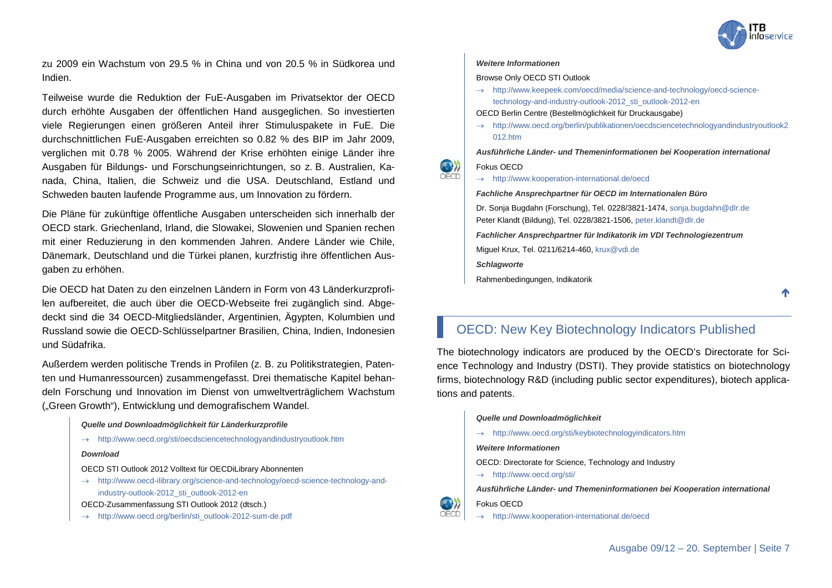

↑

zu 2009 ein Wachstum von 29.5 % in China und von 20.5 % in Südkorea und Indien.

Teilweise wurde die Reduktion der FuE-Ausgaben im Privatsektor der OECD durch erhöhte Ausgaben der öffentlichen Hand ausgeglichen. So investierten viele Regierungen einen größeren Anteil ihrer Stimuluspakete in FuE. Die durchschnittlichen FuE-Ausgaben erreichten so 0.82 % des BIP im Jahr 2009, verglichen mit 0.78 % 2005. Während der Krise erhöhten einige Länder ihre Ausgaben für Bildungs- und Forschungseinrichtungen, so z. B. Australien, Kanada, China, Italien, die Schweiz und die USA. Deutschland, Estland und Schweden bauten laufende Programme aus, um Innovation zu fördern.

Die Pläne für zukünftige öffentliche Ausgaben unterscheiden sich innerhalb der OECD stark. Griechenland, Irland, die Slowakei, Slowenien und Spanien rechen mit einer Reduzierung in den kommenden Jahren. Andere Länder wie Chile, Dänemark, Deutschland und die Türkei planen, kurzfristig ihre öffentlichen Ausgaben zu erhöhen.

Die OECD hat Daten zu den einzelnen Ländern in Form von 43 Länderkurzprofilen aufbereitet, die auch über die OECD-Webseite frei zugänglich sind. Abgedeckt sind die 34 OECD-Mitgliedsländer, Argentinien, Ägypten, Kolumbien und Russland sowie die OECD-Schlüsselpartner Brasilien, China, Indien, Indonesien und Südafrika.

Außerdem werden politische Trends in Profilen (z. B. zu Politikstrategien, Patenten und Humanressourcen) zusammengefasst. Drei thematische Kapitel behandeln Forschung und Innovation im Dienst von umweltverträglichem Wachstum ("Green Growth"), Entwicklung und demografischem Wandel.

#### *Quelle und Downloadmöglichkeit für Länderkurzprofile*

→ <http://www.oecd.org/sti/oecdsciencetechnologyandindustryoutlook.htm>

#### *Download*

OECD STI Outlook 2012 Volltext für OECDiLibrary Abonnenten

→ [http://www.oecd-ilibrary.org/science-and-technology/oecd-science-technology-and](http://www.oecd-ilibrary.org/science-and-technology/oecd-science-technology-and-industry-outlook-2012_sti_outlook-2012-en)[industry-outlook-2012\\_sti\\_outlook-2012-en](http://www.oecd-ilibrary.org/science-and-technology/oecd-science-technology-and-industry-outlook-2012_sti_outlook-2012-en)

OECD-Zusammenfassung STI Outlook 2012 (dtsch.)

→ [http://www.oecd.org/berlin/sti\\_outlook-2012-sum-de.pdf](http://www.oecd.org/berlin/sti_outlook-2012-sum-de.pdf)

#### *Weitere Informationen*

#### Browse Only OECD STI Outlook

→ [http://www.keepeek.com/oecd/media/science-and-technology/oecd-science](http://www.keepeek.com/oecd/media/science-and-technology/oecd-science-technology-and-industry-outlook-2012_sti_outlook-2012-en)[technology-and-industry-outlook-2012\\_sti\\_outlook-2012-en](http://www.keepeek.com/oecd/media/science-and-technology/oecd-science-technology-and-industry-outlook-2012_sti_outlook-2012-en)

OECD Berlin Centre (Bestellmöglichkeit für Druckausgabe)

→ [http://www.oecd.org/berlin/publikationen/oecdsciencetechnologyandindustryoutlook2](http://www.oecd.org/berlin/publikationen/oecdsciencetechnologyandindustryoutlook2012.htm) [012.htm](http://www.oecd.org/berlin/publikationen/oecdsciencetechnologyandindustryoutlook2012.htm)

*Ausführliche Länder- und Themeninformationen bei Kooperation international*

#### Fokus OECD

OECD

→ <http://www.kooperation-international.de/oecd>

*Fachliche Ansprechpartner für OECD im Internationalen Büro*

Dr. Sonja Bugdahn (Forschung), Tel. 0228/3821-1474[, sonja.bugdahn@dlr.de](mailto:sonja.bugdahn@dlr.de) Peter Klandt (Bildung), Tel. 0228/3821-1506, [peter.klandt@dlr.de](mailto:peter.klandt@dlr.de) *Fachlicher Ansprechpartner für Indikatorik im VDI Technologiezentrum* Miguel Krux, Tel. 0211/6214-460[, krux@vdi.de](mailto:krux@vdi.de) *Schlagworte* Rahmenbedingungen, Indikatorik

### <span id="page-6-0"></span>OECD: New Key Biotechnology Indicators Published

The biotechnology indicators are produced by the OECD's Directorate for Science Technology and Industry (DSTI). They provide statistics on biotechnology firms, biotechnology R&D (including public sector expenditures), biotech applications and patents.

#### *Quelle und Downloadmöglichkeit*

- → <http://www.oecd.org/sti/keybiotechnologyindicators.htm>
- *Weitere Informationen*
- OECD: Directorate for Science, Technology and Industry
- → <http://www.oecd.org/sti/>

*Ausführliche Länder- und Themeninformationen bei Kooperation international*

Fokus OECD

→ <http://www.kooperation-international.de/oecd>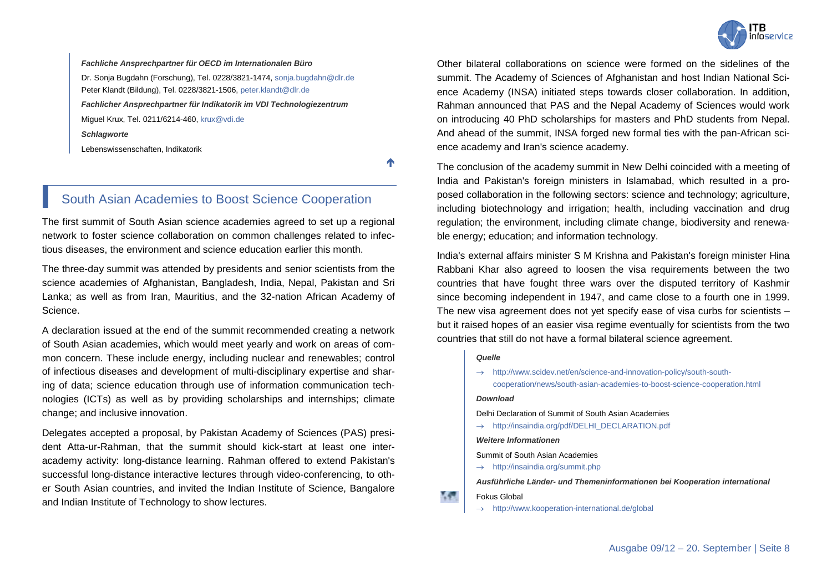

*Fachliche Ansprechpartner für OECD im Internationalen Büro* Dr. Sonja Bugdahn (Forschung), Tel. 0228/3821-1474, [sonja.bugdahn@dlr.de](mailto:sonja.bugdahn@dlr.de) Peter Klandt (Bildung), Tel. 0228/3821-1506[, peter.klandt@dlr.de](mailto:peter.klandt@dlr.de) *Fachlicher Ansprechpartner für Indikatorik im VDI Technologiezentrum* Miguel Krux, Tel. 0211/6214-460, [krux@vdi.de](mailto:krux@vdi.de) *Schlagworte* Lebenswissenschaften, Indikatorik

↑

### <span id="page-7-0"></span>South Asian Academies to Boost Science Cooperation

The first summit of South Asian science academies agreed to set up a regional network to foster science collaboration on common challenges related to infectious diseases, the environment and science education earlier this month.

The three-day summit was attended by presidents and senior scientists from the science academies of Afghanistan, Bangladesh, India, Nepal, Pakistan and Sri Lanka; as well as from Iran, Mauritius, and the 32-nation African Academy of Science.

A declaration issued at the end of the summit recommended creating a network of South Asian academies, which would meet yearly and work on areas of common concern. These include energy, including nuclear and renewables; control of infectious diseases and development of multi-disciplinary expertise and sharing of data; science education through use of information communication technologies (ICTs) as well as by providing scholarships and internships; climate change; and inclusive innovation.

Delegates accepted a proposal, by Pakistan Academy of Sciences (PAS) president Atta-ur-Rahman, that the summit should kick-start at least one interacademy activity: long-distance learning. Rahman offered to extend Pakistan's successful long-distance interactive lectures through video-conferencing, to other South Asian countries, and invited the Indian Institute of Science, Bangalore and Indian Institute of Technology to show lectures.

Other bilateral collaborations on science were formed on the sidelines of the summit. The Academy of Sciences of Afghanistan and host Indian National Science Academy (INSA) initiated steps towards closer collaboration. In addition, Rahman announced that PAS and the Nepal Academy of Sciences would work on introducing 40 PhD scholarships for masters and PhD students from Nepal. And ahead of the summit, INSA forged new formal ties with the pan-African science academy and Iran's science academy.

The conclusion of the academy summit in New Delhi coincided with a meeting of India and Pakistan's foreign ministers in Islamabad, which resulted in a proposed collaboration in the following sectors: science and technology; agriculture, including biotechnology and irrigation; health, including vaccination and drug regulation; the environment, including climate change, biodiversity and renewable energy; education; and information technology.

India's external affairs minister S M Krishna and Pakistan's foreign minister Hina Rabbani Khar also agreed to loosen the visa requirements between the two countries that have fought three wars over the disputed territory of Kashmir since becoming independent in 1947, and came close to a fourth one in 1999. The new visa agreement does not yet specify ease of visa curbs for scientists – but it raised hopes of an easier visa regime eventually for scientists from the two countries that still do not have a formal bilateral science agreement.

#### *Quelle*

→ [http://www.scidev.net/en/science-and-innovation-policy/south-south](http://www.scidev.net/en/science-and-innovation-policy/south-south-cooperation/news/south-asian-academies-to-boost-science-cooperation.html)[cooperation/news/south-asian-academies-to-boost-science-cooperation.html](http://www.scidev.net/en/science-and-innovation-policy/south-south-cooperation/news/south-asian-academies-to-boost-science-cooperation.html)

#### *Download*

Delhi Declaration of Summit of South Asian Academies

→ [http://insaindia.org/pdf/DELHI\\_DECLARATION.pdf](http://insaindia.org/pdf/DELHI_DECLARATION.pdf)

*Weitere Informationen*

Summit of South Asian Academies

 $\rightarrow$  <http://insaindia.org/summit.php>

*Ausführliche Länder- und Themeninformationen bei Kooperation international*

#### Fokus Global

→ <http://www.kooperation-international.de/global>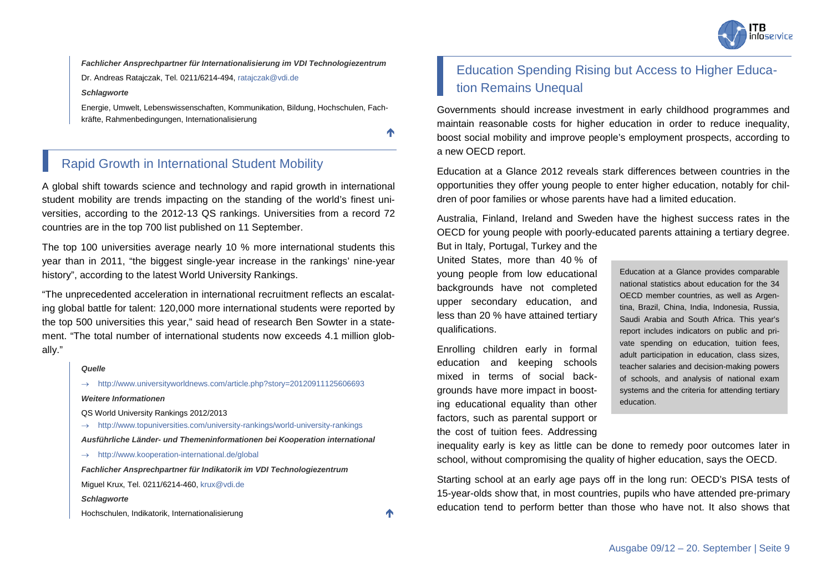

*Fachlicher Ansprechpartner für Internationalisierung im VDI Technologiezentrum*

Dr. Andreas Ratajczak, Tel. 0211/6214-494[, ratajczak@vdi.de](mailto:ratajczak@vdi.de)

*Schlagworte*

Energie, Umwelt, Lebenswissenschaften, Kommunikation, Bildung, Hochschulen, Fachkräfte, Rahmenbedingungen, Internationalisierung

 $\blacktriangle$ 

### <span id="page-8-0"></span>Rapid Growth in International Student Mobility

A global shift towards science and technology and rapid growth in international student mobility are trends impacting on the standing of the world's finest universities, according to the 2012-13 QS rankings. Universities from a record 72 countries are in the top 700 list published on 11 September.

The top 100 universities average nearly 10 % more international students this year than in 2011, "the biggest single-year increase in the rankings' nine-year history", according to the latest World University Rankings.

"The unprecedented acceleration in international recruitment reflects an escalating global battle for talent: 120,000 more international students were reported by the top 500 universities this year," said head of research Ben Sowter in a statement. "The total number of international students now exceeds 4.1 million globally."

#### *Quelle*

→ <http://www.universityworldnews.com/article.php?story=20120911125606693> *Weitere Informationen*

QS World University Rankings 2012/2013

→ <http://www.topuniversities.com/university-rankings/world-university-rankings>

*Ausführliche Länder- und Themeninformationen bei Kooperation international*

→ <http://www.kooperation-international.de/global>

*Fachlicher Ansprechpartner für Indikatorik im VDI Technologiezentrum*

Miguel Krux, Tel. 0211/6214-460, [krux@vdi.de](mailto:krux@vdi.de)

*Schlagworte*

Hochschulen, Indikatorik, Internationalisierung

### <span id="page-8-1"></span>Education Spending Rising but Access to Higher Education Remains Unequal

Governments should increase investment in early childhood programmes and maintain reasonable costs for higher education in order to reduce inequality, boost social mobility and improve people's employment prospects, according to a new OECD report.

Education at a Glance 2012 reveals stark differences between countries in the opportunities they offer young people to enter higher education, notably for children of poor families or whose parents have had a limited education.

Australia, Finland, Ireland and Sweden have the highest success rates in the OECD for young people with poorly-educated parents attaining a tertiary degree.

But in Italy, Portugal, Turkey and the United States, more than 40 % of young people from low educational backgrounds have not completed upper secondary education, and less than 20 % have attained tertiary qualifications.

Enrolling children early in formal education and keeping schools mixed in terms of social backgrounds have more impact in boosting educational equality than other factors, such as parental support or the cost of tuition fees. Addressing

Education at a Glance provides comparable national statistics about education for the 34 OECD member countries, as well as Argentina, Brazil, China, India, Indonesia, Russia, Saudi Arabia and South Africa. This year's report includes indicators on public and private spending on education, tuition fees, adult participation in education, class sizes, teacher salaries and decision-making powers of schools, and analysis of national exam systems and the criteria for attending tertiary education.

inequality early is key as little can be done to remedy poor outcomes later in school, without compromising the quality of higher education, says the OECD.

Starting school at an early age pays off in the long run: OECD's PISA tests of 15-year-olds show that, in most countries, pupils who have attended pre-primary education tend to perform better than those who have not. It also shows that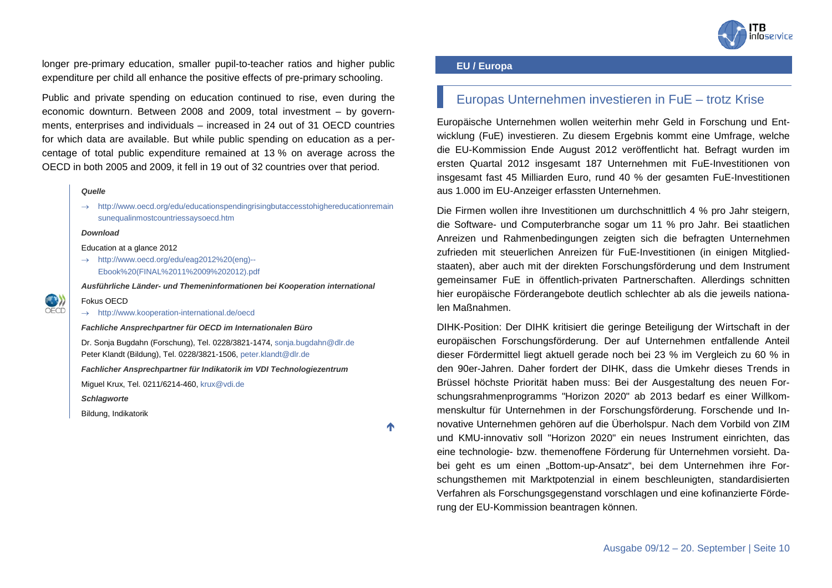

longer pre-primary education, smaller pupil-to-teacher ratios and higher public expenditure per child all enhance the positive effects of pre-primary schooling.

Public and private spending on education continued to rise, even during the economic downturn. Between 2008 and 2009, total investment – by governments, enterprises and individuals – increased in 24 out of 31 OECD countries for which data are available. But while public spending on education as a percentage of total public expenditure remained at 13 % on average across the OECD in both 2005 and 2009, it fell in 19 out of 32 countries over that period.

#### *Quelle*

→ [http://www.oecd.org/edu/educationspendingrisingbutaccesstohighereducationremain](http://www.oecd.org/edu/educationspendingrisingbutaccesstohighereducationremainsunequalinmostcountriessaysoecd.htm) [sunequalinmostcountriessaysoecd.htm](http://www.oecd.org/edu/educationspendingrisingbutaccesstohighereducationremainsunequalinmostcountriessaysoecd.htm)

#### *Download*

Fokus OECD

Education at a glance 2012

 $\rightarrow$  [http://www.oecd.org/edu/eag2012%20\(eng\)--](http://www.oecd.org/edu/eag2012%20(eng)--Ebook%20(FINAL%2011%2009%202012).pdf) [Ebook%20\(FINAL%2011%2009%202012\).pdf](http://www.oecd.org/edu/eag2012%20(eng)--Ebook%20(FINAL%2011%2009%202012).pdf)

*Ausführliche Länder- und Themeninformationen bei Kooperation international*

## O)

→ <http://www.kooperation-international.de/oecd>

*Fachliche Ansprechpartner für OECD im Internationalen Büro*

Dr. Sonja Bugdahn (Forschung), Tel. 0228/3821-1474, [sonja.bugdahn@dlr.de](mailto:sonja.bugdahn@dlr.de) Peter Klandt (Bildung), Tel. 0228/3821-1506[, peter.klandt@dlr.de](mailto:peter.klandt@dlr.de)

*Fachlicher Ansprechpartner für Indikatorik im VDI Technologiezentrum*

Miguel Krux, Tel. 0211/6214-460, [krux@vdi.de](mailto:krux@vdi.de)

*Schlagworte*

Bildung, Indikatorik

↑

#### <span id="page-9-0"></span>**EU / Europa**

### <span id="page-9-1"></span>Europas Unternehmen investieren in FuE – trotz Krise

Europäische Unternehmen wollen weiterhin mehr Geld in Forschung und Entwicklung (FuE) investieren. Zu diesem Ergebnis kommt eine Umfrage, welche die EU-Kommission Ende August 2012 veröffentlicht hat. Befragt wurden im ersten Quartal 2012 insgesamt 187 Unternehmen mit FuE-Investitionen von insgesamt fast 45 Milliarden Euro, rund 40 % der gesamten FuE-Investitionen aus 1.000 im EU-Anzeiger erfassten Unternehmen.

Die Firmen wollen ihre Investitionen um durchschnittlich 4 % pro Jahr steigern, die Software- und Computerbranche sogar um 11 % pro Jahr. Bei staatlichen Anreizen und Rahmenbedingungen zeigten sich die befragten Unternehmen zufrieden mit steuerlichen Anreizen für FuE-Investitionen (in einigen Mitgliedstaaten), aber auch mit der direkten Forschungsförderung und dem Instrument gemeinsamer FuE in öffentlich-privaten Partnerschaften. Allerdings schnitten hier europäische Förderangebote deutlich schlechter ab als die jeweils nationalen Maßnahmen.

DIHK-Position: Der DIHK kritisiert die geringe Beteiligung der Wirtschaft in der europäischen Forschungsförderung. Der auf Unternehmen entfallende Anteil dieser Fördermittel liegt aktuell gerade noch bei 23 % im Vergleich zu 60 % in den 90er-Jahren. Daher fordert der DIHK, dass die Umkehr dieses Trends in Brüssel höchste Priorität haben muss: Bei der Ausgestaltung des neuen Forschungsrahmenprogramms "Horizon 2020" ab 2013 bedarf es einer Willkommenskultur für Unternehmen in der Forschungsförderung. Forschende und Innovative Unternehmen gehören auf die Überholspur. Nach dem Vorbild von ZIM und KMU-innovativ soll "Horizon 2020" ein neues Instrument einrichten, das eine technologie- bzw. themenoffene Förderung für Unternehmen vorsieht. Dabei geht es um einen "Bottom-up-Ansatz", bei dem Unternehmen ihre Forschungsthemen mit Marktpotenzial in einem beschleunigten, standardisierten Verfahren als Forschungsgegenstand vorschlagen und eine kofinanzierte Förderung der EU-Kommission beantragen können.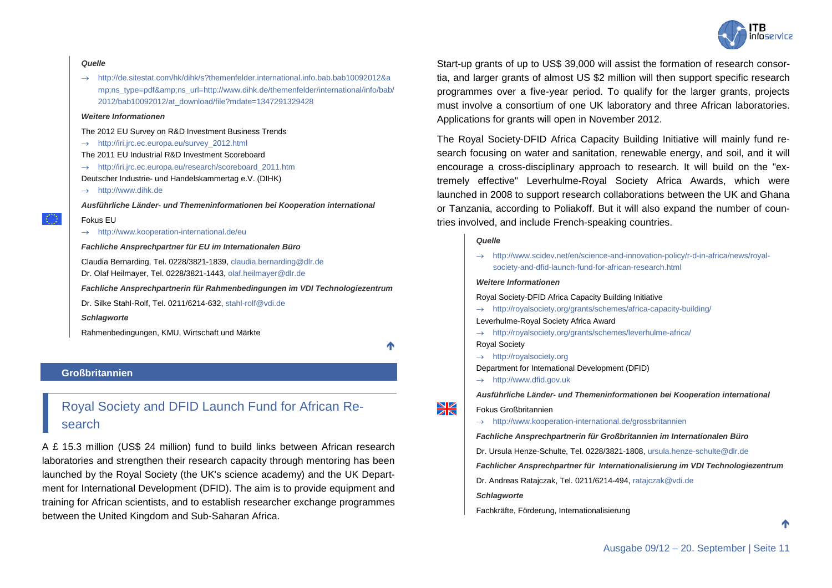# nfoservice

#### *Quelle*

→ [http://de.sitestat.com/hk/dihk/s?themenfelder.international.info.bab.bab10092012&a](http://de.sitestat.com/hk/dihk/s?themenfelder.international.info.bab.bab10092012&ns_type=pdf&ns_url=http://www.dihk.de/themenfelder/international/info/bab/2012/bab10092012/at_download/file?mdate=1347291329428) [mp;ns\\_type=pdf&ns\\_url=http://www.dihk.de/themenfelder/international/info/bab/](http://de.sitestat.com/hk/dihk/s?themenfelder.international.info.bab.bab10092012&ns_type=pdf&ns_url=http://www.dihk.de/themenfelder/international/info/bab/2012/bab10092012/at_download/file?mdate=1347291329428) [2012/bab10092012/at\\_download/file?mdate=1347291329428](http://de.sitestat.com/hk/dihk/s?themenfelder.international.info.bab.bab10092012&ns_type=pdf&ns_url=http://www.dihk.de/themenfelder/international/info/bab/2012/bab10092012/at_download/file?mdate=1347291329428)

#### *Weitere Informationen*

The 2012 EU Survey on R&D Investment Business Trends

- → [http://iri.jrc.ec.europa.eu/survey\\_2012.html](http://iri.jrc.ec.europa.eu/survey_2012.html)
- The 2011 EU Industrial R&D Investment Scoreboard
- → [http://iri.jrc.ec.europa.eu/research/scoreboard\\_2011.htm](http://iri.jrc.ec.europa.eu/research/scoreboard_2011.htm)

Deutscher Industrie- und Handelskammertag e.V. (DIHK)

→ [http://www.dihk.de](http://www.dihk.de/)

*Ausführliche Länder- und Themeninformationen bei Kooperation international*

#### Fokus EU

→ <http://www.kooperation-international.de/eu>

#### *Fachliche Ansprechpartner für EU im Internationalen Büro*

Claudia Bernarding, Tel. 0228/3821-1839[, claudia.bernarding@dlr.de](mailto:claudia.bernarding@dlr.de)

Dr. Olaf Heilmayer, Tel. 0228/3821-1443, [olaf.heilmayer@dlr.de](mailto:olaf.heilmayer@dlr.de)

*Fachliche Ansprechpartnerin für Rahmenbedingungen im VDI Technologiezentrum*

Dr. Silke Stahl-Rolf, Tel. 0211/6214-632, [stahl-rolf@vdi.de](mailto:stahl-rolf@vdi.de)

*Schlagworte*

Rahmenbedingungen, KMU, Wirtschaft und Märkte

#### <span id="page-10-0"></span>**Großbritannien**

### <span id="page-10-1"></span>Royal Society and DFID Launch Fund for African Research

A £ 15.3 million (US\$ 24 million) fund to build links between African research laboratories and strengthen their research capacity through mentoring has been launched by the Royal Society (the UK's science academy) and the UK Department for International Development (DFID). The aim is to provide equipment and training for African scientists, and to establish researcher exchange programmes between the United Kingdom and Sub-Saharan Africa.

Start-up grants of up to US\$ 39,000 will assist the formation of research consortia, and larger grants of almost US \$2 million will then support specific research programmes over a five-year period. To qualify for the larger grants, projects must involve a consortium of one UK laboratory and three African laboratories. Applications for grants will open in November 2012.

The Royal Society-DFID Africa Capacity Building Initiative will mainly fund research focusing on water and sanitation, renewable energy, and soil, and it will encourage a cross-disciplinary approach to research. It will build on the "extremely effective" Leverhulme-Royal Society Africa Awards, which were launched in 2008 to support research collaborations between the UK and Ghana or Tanzania, according to Poliakoff. But it will also expand the number of countries involved, and include French-speaking countries.

#### *Quelle*

→ [http://www.scidev.net/en/science-and-innovation-policy/r-d-in-africa/news/royal](http://www.scidev.net/en/science-and-innovation-policy/r-d-in-africa/news/royal-society-and-dfid-launch-fund-for-african-research.html)[society-and-dfid-launch-fund-for-african-research.html](http://www.scidev.net/en/science-and-innovation-policy/r-d-in-africa/news/royal-society-and-dfid-launch-fund-for-african-research.html)

#### *Weitere Informationen*

Royal Society-DFID Africa Capacity Building Initiative

→ <http://royalsociety.org/grants/schemes/africa-capacity-building/>

Leverhulme-Royal Society Africa Award

→ <http://royalsociety.org/grants/schemes/leverhulme-africa/>

Royal Society

↑

- → [http://royalsociety.org](http://royalsociety.org/)
- Department for International Development (DFID)
- $\rightarrow$  [http://www.dfid.gov.uk](http://www.dfid.gov.uk/)

*Ausführliche Länder- und Themeninformationen bei Kooperation international*

Fokus Großbritannien

 $\geq$ 

→ <http://www.kooperation-international.de/grossbritannien>

*Fachliche Ansprechpartnerin für Großbritannien im Internationalen Büro*

Dr. Ursula Henze-Schulte, Tel. 0228/3821-1808[, ursula.henze-schulte@dlr.de](mailto:ursula.henze-schulte@dlr.de)

*Fachlicher Ansprechpartner für Internationalisierung im VDI Technologiezentrum*

Dr. Andreas Ratajczak, Tel. 0211/6214-494, [ratajczak@vdi.de](mailto:ratajczak@vdi.de)

*Schlagworte*

Fachkräfte, Förderung, Internationalisierung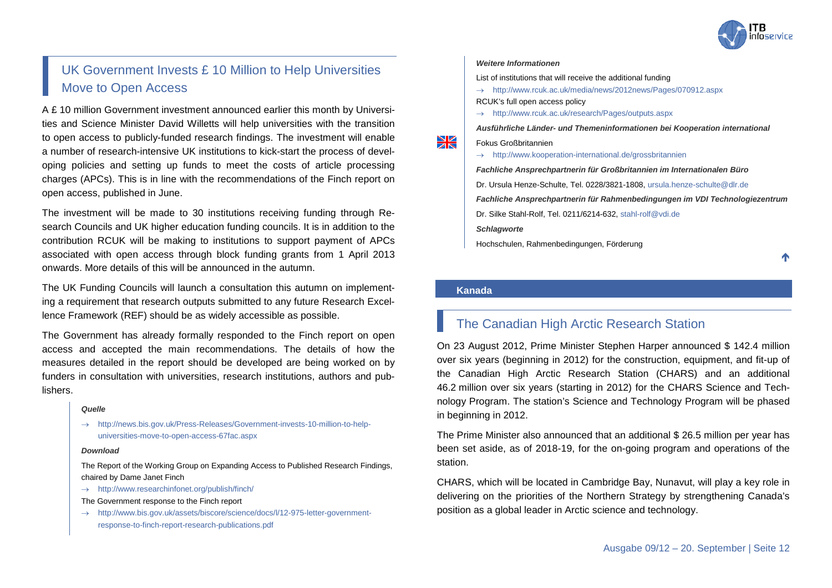

### <span id="page-11-0"></span>UK Government Invests £ 10 Million to Help Universities Move to Open Access

A £ 10 million Government investment announced earlier this month by Universities and Science Minister David Willetts will help universities with the transition to open access to publicly-funded research findings. The investment will enable a number of research-intensive UK institutions to kick-start the process of developing policies and setting up funds to meet the costs of article processing charges (APCs). This is in line with the recommendations of the Finch report on open access, published in June.

The investment will be made to 30 institutions receiving funding through Research Councils and UK higher education funding councils. It is in addition to the contribution RCUK will be making to institutions to support payment of APCs associated with open access through block funding grants from 1 April 2013 onwards. More details of this will be announced in the autumn.

The UK Funding Councils will launch a consultation this autumn on implementing a requirement that research outputs submitted to any future Research Excellence Framework (REF) should be as widely accessible as possible.

The Government has already formally responded to the Finch report on open access and accepted the main recommendations. The details of how the measures detailed in the report should be developed are being worked on by funders in consultation with universities, research institutions, authors and publishers.

#### *Quelle*

→ [http://news.bis.gov.uk/Press-Releases/Government-invests-10-million-to-help](http://news.bis.gov.uk/Press-Releases/Government-invests-10-million-to-help-universities-move-to-open-access-67fac.aspx)[universities-move-to-open-access-67fac.aspx](http://news.bis.gov.uk/Press-Releases/Government-invests-10-million-to-help-universities-move-to-open-access-67fac.aspx)

#### *Download*

The Report of the Working Group on Expanding Access to Published Research Findings, chaired by Dame Janet Finch

 $\rightarrow$  <http://www.researchinfonet.org/publish/finch/>

The Government response to the Finch report

→ [http://www.bis.gov.uk/assets/biscore/science/docs/l/12-975-letter-government](http://www.bis.gov.uk/assets/biscore/science/docs/l/12-975-letter-government-response-to-finch-report-research-publications.pdf)[response-to-finch-report-research-publications.pdf](http://www.bis.gov.uk/assets/biscore/science/docs/l/12-975-letter-government-response-to-finch-report-research-publications.pdf)

#### *Weitere Informationen*

List of institutions that will receive the additional funding

- → <http://www.rcuk.ac.uk/media/news/2012news/Pages/070912.aspx> RCUK's full open access policy
- → <http://www.rcuk.ac.uk/research/Pages/outputs.aspx>

*Ausführliche Länder- und Themeninformationen bei Kooperation international*

Fokus Großbritannien

→ <http://www.kooperation-international.de/grossbritannien>

*Fachliche Ansprechpartnerin für Großbritannien im Internationalen Büro* Dr. Ursula Henze-Schulte, Tel. 0228/3821-1808[, ursula.henze-schulte@dlr.de](mailto:ursula.henze-schulte@dlr.de) *Fachliche Ansprechpartnerin für Rahmenbedingungen im VDI Technologiezentrum* Dr. Silke Stahl-Rolf, Tel. 0211/6214-632, [stahl-rolf@vdi.de](mailto:stahl-rolf@vdi.de) *Schlagworte*

Hochschulen, Rahmenbedingungen, Förderung

↑

#### <span id="page-11-1"></span>**Kanada**

¥

### <span id="page-11-2"></span>The Canadian High Arctic Research Station

On 23 August 2012, Prime Minister Stephen Harper announced \$ 142.4 million over six years (beginning in 2012) for the construction, equipment, and fit-up of the Canadian High Arctic Research Station (CHARS) and an additional 46.2 million over six years (starting in 2012) for the CHARS Science and Technology Program. The station's Science and Technology Program will be phased in beginning in 2012.

The Prime Minister also announced that an additional \$ 26.5 million per year has been set aside, as of 2018-19, for the on-going program and operations of the station.

CHARS, which will be located in Cambridge Bay, Nunavut, will play a key role in delivering on the priorities of the Northern Strategy by strengthening Canada's position as a global leader in Arctic science and technology.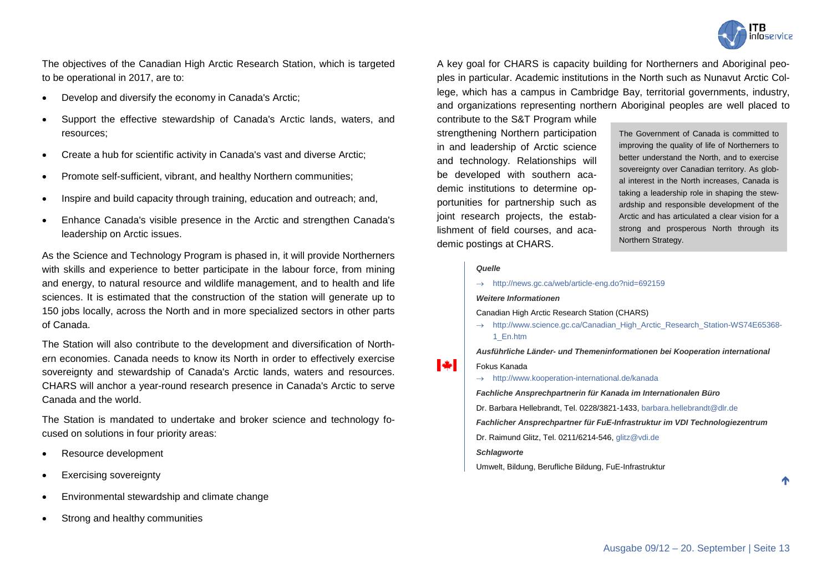

The objectives of the Canadian High Arctic Research Station, which is targeted to be operational in 2017, are to:

- Develop and diversify the economy in Canada's Arctic;
- Support the effective stewardship of Canada's Arctic lands, waters, and resources;
- Create a hub for scientific activity in Canada's vast and diverse Arctic;
- Promote self-sufficient, vibrant, and healthy Northern communities;
- Inspire and build capacity through training, education and outreach; and,
- Enhance Canada's visible presence in the Arctic and strengthen Canada's leadership on Arctic issues.

As the Science and Technology Program is phased in, it will provide Northerners with skills and experience to better participate in the labour force, from mining and energy, to natural resource and wildlife management, and to health and life sciences. It is estimated that the construction of the station will generate up to 150 jobs locally, across the North and in more specialized sectors in other parts of Canada.

The Station will also contribute to the development and diversification of Northern economies. Canada needs to know its North in order to effectively exercise sovereignty and stewardship of Canada's Arctic lands, waters and resources. CHARS will anchor a year-round research presence in Canada's Arctic to serve Canada and the world.

The Station is mandated to undertake and broker science and technology focused on solutions in four priority areas:

- Resource development
- Exercising sovereignty
- Environmental stewardship and climate change
- Strong and healthy communities

A key goal for CHARS is capacity building for Northerners and Aboriginal peoples in particular. Academic institutions in the North such as Nunavut Arctic College, which has a campus in Cambridge Bay, territorial governments, industry, and organizations representing northern Aboriginal peoples are well placed to

contribute to the S&T Program while strengthening Northern participation in and leadership of Arctic science and technology. Relationships will be developed with southern academic institutions to determine opportunities for partnership such as joint research projects, the establishment of field courses, and academic postings at CHARS.

The Government of Canada is committed to improving the quality of life of Northerners to better understand the North, and to exercise sovereignty over Canadian territory. As global interest in the North increases, Canada is taking a leadership role in shaping the stewardship and responsible development of the Arctic and has articulated a clear vision for a strong and prosperous North through its Northern Strategy.

#### *Quelle*

→ <http://news.gc.ca/web/article-eng.do?nid=692159>

*Weitere Informationen*

- Canadian High Arctic Research Station (CHARS)
- → [http://www.science.gc.ca/Canadian\\_High\\_Arctic\\_Research\\_Station-WS74E65368-](http://www.science.gc.ca/Canadian_High_Arctic_Research_Station-WS74E65368-1_En.htm) [1\\_En.htm](http://www.science.gc.ca/Canadian_High_Arctic_Research_Station-WS74E65368-1_En.htm)

*Ausführliche Länder- und Themeninformationen bei Kooperation international*

#### $\mathbf{W}$ Fokus Kanada

→ <http://www.kooperation-international.de/kanada>

*Fachliche Ansprechpartnerin für Kanada im Internationalen Büro*

Dr. Barbara Hellebrandt, Tel. 0228/3821-1433, [barbara.hellebrandt@dlr.de](mailto:barbara.hellebrandt@dlr.de)

*Fachlicher Ansprechpartner für FuE-Infrastruktur im VDI Technologiezentrum*

Dr. Raimund Glitz, Tel. 0211/6214-546[, glitz@vdi.de](mailto:glitz@vdi.de)

*Schlagworte*

Umwelt, Bildung, Berufliche Bildung, FuE-Infrastruktur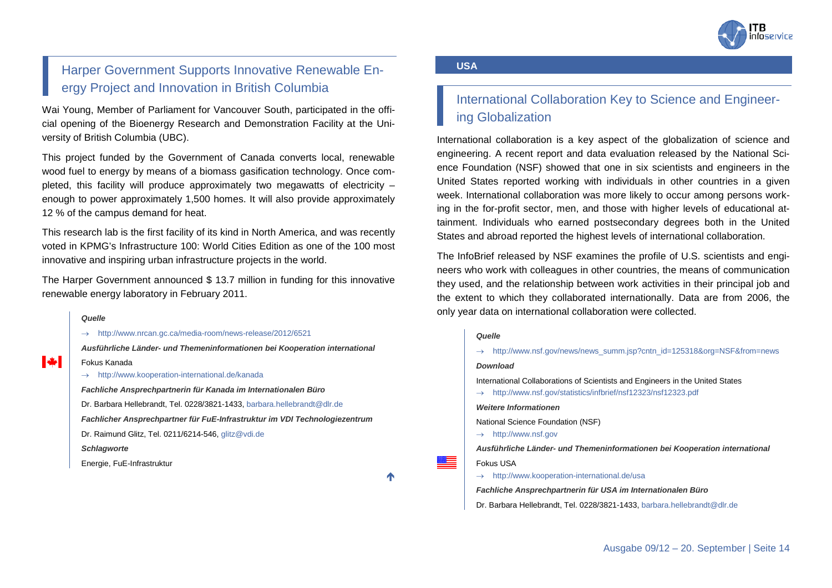

### <span id="page-13-0"></span>Harper Government Supports Innovative Renewable Energy Project and Innovation in British Columbia

Wai Young, Member of Parliament for Vancouver South, participated in the official opening of the Bioenergy Research and Demonstration Facility at the University of British Columbia (UBC).

This project funded by the Government of Canada converts local, renewable wood fuel to energy by means of a biomass gasification technology. Once completed, this facility will produce approximately two megawatts of electricity – enough to power approximately 1,500 homes. It will also provide approximately 12 % of the campus demand for heat.

This research lab is the first facility of its kind in North America, and was recently voted in KPMG's Infrastructure 100: World Cities Edition as one of the 100 most innovative and inspiring urban infrastructure projects in the world.

The Harper Government announced \$ 13.7 million in funding for this innovative renewable energy laboratory in February 2011.

#### *Quelle*

 $\mathbf{v}$ 

→ <http://www.nrcan.gc.ca/media-room/news-release/2012/6521>

*Ausführliche Länder- und Themeninformationen bei Kooperation international* Fokus Kanada → <http://www.kooperation-international.de/kanada>

*Fachliche Ansprechpartnerin für Kanada im Internationalen Büro* Dr. Barbara Hellebrandt, Tel. 0228/3821-1433[, barbara.hellebrandt@dlr.de](mailto:barbara.hellebrandt@dlr.de) *Fachlicher Ansprechpartner für FuE-Infrastruktur im VDI Technologiezentrum* Dr. Raimund Glitz, Tel. 0211/6214-546[, glitz@vdi.de](mailto:glitz@vdi.de) *Schlagworte* Energie, FuE-Infrastruktur

↑

≋≡

#### <span id="page-13-1"></span>**USA**

### <span id="page-13-2"></span>International Collaboration Key to Science and Engineering Globalization

International collaboration is a key aspect of the globalization of science and engineering. A recent report and data evaluation released by the National Science Foundation (NSF) showed that one in six scientists and engineers in the United States reported working with individuals in other countries in a given week. International collaboration was more likely to occur among persons working in the for-profit sector, men, and those with higher levels of educational attainment. Individuals who earned postsecondary degrees both in the United States and abroad reported the highest levels of international collaboration.

The InfoBrief released by NSF examines the profile of U.S. scientists and engineers who work with colleagues in other countries, the means of communication they used, and the relationship between work activities in their principal job and the extent to which they collaborated internationally. Data are from 2006, the only year data on international collaboration were collected.

#### *Quelle*

| $\rightarrow$                                               | http://www.nsf.gov/news/news_summ.jsp?cntn_id=125318&org=NSF&from=news                                                                        |
|-------------------------------------------------------------|-----------------------------------------------------------------------------------------------------------------------------------------------|
|                                                             | <b>Download</b>                                                                                                                               |
| $\rightarrow$                                               | International Collaborations of Scientists and Engineers in the United States<br>http://www.nsf.gov/statistics/infbrief/nsf12323/nsf12323.pdf |
|                                                             | <b>Weitere Informationen</b>                                                                                                                  |
| $\rightarrow$                                               | National Science Foundation (NSF)<br>http://www.nsf.gov                                                                                       |
|                                                             | Ausführliche Länder- und Themeninformationen bei Kooperation international                                                                    |
|                                                             | Fokus USA                                                                                                                                     |
| $\rightarrow$                                               | http://www.kooperation-international.de/usa                                                                                                   |
| Fachliche Ansprechpartnerin für USA im Internationalen Büro |                                                                                                                                               |
|                                                             | Dr. Barbara Hellebrandt, Tel. 0228/3821-1433, barbara.hellebrandt@dlr.de                                                                      |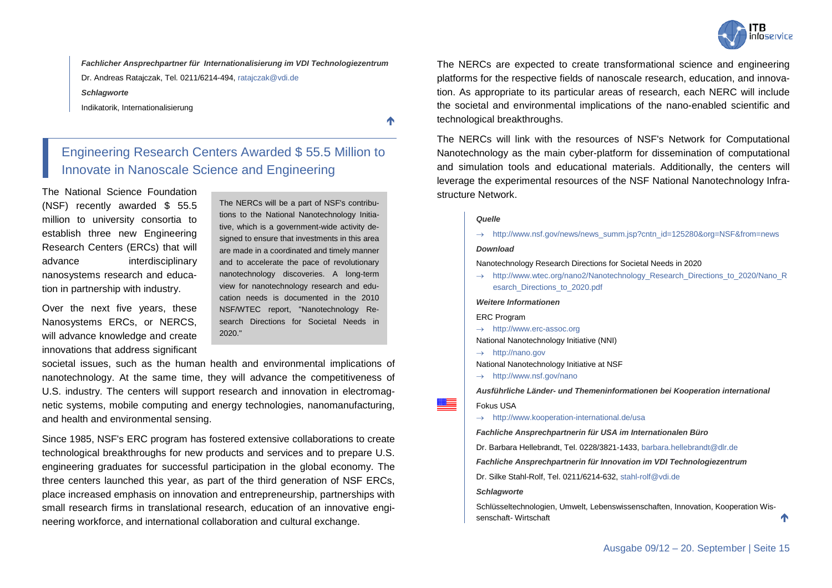

*Fachlicher Ansprechpartner für Internationalisierung im VDI Technologiezentrum* Dr. Andreas Ratajczak, Tel. 0211/6214-494[, ratajczak@vdi.de](mailto:ratajczak@vdi.de)

*Schlagworte*

Indikatorik, Internationalisierung

不

### <span id="page-14-0"></span>Engineering Research Centers Awarded \$ 55.5 Million to Innovate in Nanoscale Science and Engineering

The National Science Foundation (NSF) recently awarded \$ 55.5 million to university consortia to establish three new Engineering Research Centers (ERCs) that will advance interdisciplinary nanosystems research and education in partnership with industry.

Over the next five years, these Nanosystems ERCs, or NERCS, will advance knowledge and create innovations that address significant The NERCs will be a part of NSF's contributions to the National Nanotechnology Initiative, which is a government-wide activity designed to ensure that investments in this area are made in a coordinated and timely manner and to accelerate the pace of revolutionary nanotechnology discoveries. A long-term view for nanotechnology research and education needs is documented in the 2010 NSF/WTEC report, "Nanotechnology Research Directions for Societal Needs in 2020."

societal issues, such as the human health and environmental implications of nanotechnology. At the same time, they will advance the competitiveness of U.S. industry. The centers will support research and innovation in electromagnetic systems, mobile computing and energy technologies, nanomanufacturing, and health and environmental sensing.

Since 1985, NSF's ERC program has fostered extensive collaborations to create technological breakthroughs for new products and services and to prepare U.S. engineering graduates for successful participation in the global economy. The three centers launched this year, as part of the third generation of NSF ERCs, place increased emphasis on innovation and entrepreneurship, partnerships with small research firms in translational research, education of an innovative engineering workforce, and international collaboration and cultural exchange.

The NERCs are expected to create transformational science and engineering platforms for the respective fields of nanoscale research, education, and innovation. As appropriate to its particular areas of research, each NERC will include the societal and environmental implications of the nano-enabled scientific and technological breakthroughs.

The NERCs will link with the resources of NSF's Network for Computational Nanotechnology as the main cyber-platform for dissemination of computational and simulation tools and educational materials. Additionally, the centers will leverage the experimental resources of the NSF National Nanotechnology Infrastructure Network.

#### *Quelle*

→ [http://www.nsf.gov/news/news\\_summ.jsp?cntn\\_id=125280&org=NSF&from=news](http://www.nsf.gov/news/news_summ.jsp?cntn_id=125280&org=NSF&from=news)

#### *Download*

Nanotechnology Research Directions for Societal Needs in 2020

→ [http://www.wtec.org/nano2/Nanotechnology\\_Research\\_Directions\\_to\\_2020/Nano\\_R](http://www.wtec.org/nano2/Nanotechnology_Research_Directions_to_2020/Nano_Resarch_Directions_to_2020.pdf) [esarch\\_Directions\\_to\\_2020.pdf](http://www.wtec.org/nano2/Nanotechnology_Research_Directions_to_2020/Nano_Resarch_Directions_to_2020.pdf)

#### *Weitere Informationen*

ERC Program

- → [http://www.erc-assoc.org](http://www.erc-assoc.org/)
- National Nanotechnology Initiative (NNI)
- → [http://nano.gov](http://nano.gov/)
- National Nanotechnology Initiative at NSF
- → <http://www.nsf.gov/nano>

*Ausführliche Länder- und Themeninformationen bei Kooperation international*

Fokus USA

▩▬

→ <http://www.kooperation-international.de/usa>

*Fachliche Ansprechpartnerin für USA im Internationalen Büro*

Dr. Barbara Hellebrandt, Tel. 0228/3821-1433, [barbara.hellebrandt@dlr.de](mailto:barbara.hellebrandt@dlr.de)

*Fachliche Ansprechpartnerin für Innovation im VDI Technologiezentrum*

Dr. Silke Stahl-Rolf, Tel. 0211/6214-632, [stahl-rolf@vdi.de](mailto:stahl-rolf@vdi.de)

#### *Schlagworte*

Schlüsseltechnologien, Umwelt, Lebenswissenschaften, Innovation, Kooperation Wissenschaft- Wirtschaft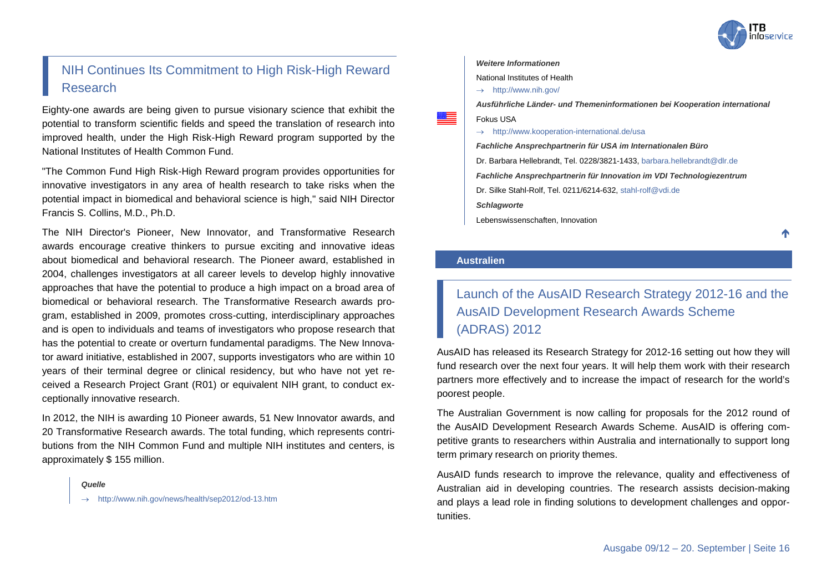

↑

### <span id="page-15-0"></span>NIH Continues Its Commitment to High Risk-High Reward Research

Eighty-one awards are being given to pursue visionary science that exhibit the potential to transform scientific fields and speed the translation of research into improved health, under the High Risk-High Reward program supported by the National Institutes of Health Common Fund.

"The Common Fund High Risk-High Reward program provides opportunities for innovative investigators in any area of health research to take risks when the potential impact in biomedical and behavioral science is high," said NIH Director Francis S. Collins, M.D., Ph.D.

The NIH Director's Pioneer, New Innovator, and Transformative Research awards encourage creative thinkers to pursue exciting and innovative ideas about biomedical and behavioral research. The Pioneer award, established in 2004, challenges investigators at all career levels to develop highly innovative approaches that have the potential to produce a high impact on a broad area of biomedical or behavioral research. The Transformative Research awards program, established in 2009, promotes cross-cutting, interdisciplinary approaches and is open to individuals and teams of investigators who propose research that has the potential to create or overturn fundamental paradigms. The New Innovator award initiative, established in 2007, supports investigators who are within 10 years of their terminal degree or clinical residency, but who have not yet received a Research Project Grant (R01) or equivalent NIH grant, to conduct exceptionally innovative research.

In 2012, the NIH is awarding 10 Pioneer awards, 51 New Innovator awards, and 20 Transformative Research awards. The total funding, which represents contributions from the NIH Common Fund and multiple NIH institutes and centers, is approximately \$ 155 million.

#### *Quelle*

→ <http://www.nih.gov/news/health/sep2012/od-13.htm>

#### *Weitere Informationen*

National Institutes of Health

 $\rightarrow$  <http://www.nih.gov/>

*Ausführliche Länder- und Themeninformationen bei Kooperation international* Fokus USA

→ <http://www.kooperation-international.de/usa>

*Fachliche Ansprechpartnerin für USA im Internationalen Büro* Dr. Barbara Hellebrandt, Tel. 0228/3821-1433, [barbara.hellebrandt@dlr.de](mailto:barbara.hellebrandt@dlr.de) *Fachliche Ansprechpartnerin für Innovation im VDI Technologiezentrum* Dr. Silke Stahl-Rolf, Tel. 0211/6214-632, [stahl-rolf@vdi.de](mailto:stahl-rolf@vdi.de) *Schlagworte* Lebenswissenschaften, Innovation

#### <span id="page-15-1"></span>**Australien**

≋≡

### <span id="page-15-2"></span>Launch of the AusAID Research Strategy 2012-16 and the AusAID Development Research Awards Scheme (ADRAS) 2012

AusAID has released its Research Strategy for 2012-16 setting out how they will fund research over the next four years. It will help them work with their research partners more effectively and to increase the impact of research for the world's poorest people.

The Australian Government is now calling for proposals for the 2012 round of the AusAID Development Research Awards Scheme. AusAID is offering competitive grants to researchers within Australia and internationally to support long term primary research on priority themes.

AusAID funds research to improve the relevance, quality and effectiveness of Australian aid in developing countries. The research assists decision-making and plays a lead role in finding solutions to development challenges and opportunities.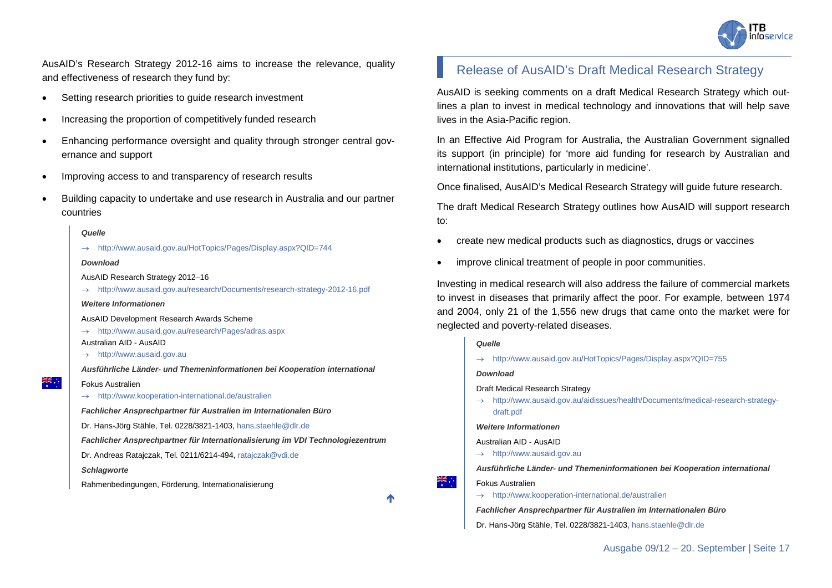

AusAID's Research Strategy 2012-16 aims to increase the relevance, quality and effectiveness of research they fund by:

- Setting research priorities to guide research investment
- Increasing the proportion of competitively funded research
- Enhancing performance oversight and quality through stronger central governance and support
- Improving access to and transparency of research results
- Building capacity to undertake and use research in Australia and our partner countries

#### *Quelle*

→ <http://www.ausaid.gov.au/HotTopics/Pages/Display.aspx?QID=744>

#### *Download*

AusAID Research Strategy 2012–16

→ <http://www.ausaid.gov.au/research/Documents/research-strategy-2012-16.pdf>

#### *Weitere Informationen*

AusAID Development Research Awards Scheme

<http://www.ausaid.gov.au/research/Pages/adras.aspx>

#### Australian AID - AusAID

 $\rightarrow$  [http://www.ausaid.gov.au](http://www.ausaid.gov.au/)

*Ausführliche Länder- und Themeninformationen bei Kooperation international*

- Fokus Australien
- $\rightarrow$  <http://www.kooperation-international.de/australien>

*Fachlicher Ansprechpartner für Australien im Internationalen Büro*

Dr. Hans-Jörg Stähle, Tel. 0228/3821-1403[, hans.staehle@dlr.de](mailto:hans.staehle@dlr.de)

*Fachlicher Ansprechpartner für Internationalisierung im VDI Technologiezentrum*

Dr. Andreas Ratajczak, Tel. 0211/6214-494[, ratajczak@vdi.de](mailto:ratajczak@vdi.de)

#### *Schlagworte*

Rahmenbedingungen, Förderung, Internationalisierung

↑

÷, ≫k

### <span id="page-16-0"></span>Release of AusAID's Draft Medical Research Strategy

AusAID is seeking comments on a draft Medical Research Strategy which outlines a plan to invest in medical technology and innovations that will help save lives in the Asia-Pacific region.

In an Effective Aid Program for Australia, the Australian Government signalled its support (in principle) for 'more aid funding for research by Australian and international institutions, particularly in medicine'.

Once finalised, AusAID's Medical Research Strategy will guide future research.

The draft Medical Research Strategy outlines how AusAID will support research to:

- create new medical products such as diagnostics, drugs or vaccines
- improve clinical treatment of people in poor communities.

Investing in medical research will also address the failure of commercial markets to invest in diseases that primarily affect the poor. For example, between 1974 and 2004, only 21 of the 1,556 new drugs that came onto the market were for neglected and poverty-related diseases.

#### *Quelle*

→ <http://www.ausaid.gov.au/HotTopics/Pages/Display.aspx?QID=755>

*Download*

#### Draft Medical Research Strategy

→ [http://www.ausaid.gov.au/aidissues/health/Documents/medical-research-strategy](http://www.ausaid.gov.au/aidissues/health/Documents/medical-research-strategy-draft.pdf)[draft.pdf](http://www.ausaid.gov.au/aidissues/health/Documents/medical-research-strategy-draft.pdf)

#### *Weitere Informationen*

Australian AID - AusAID

→ [http://www.ausaid.gov.au](http://www.ausaid.gov.au/)

*Ausführliche Länder- und Themeninformationen bei Kooperation international*

Fokus Australien

→ <http://www.kooperation-international.de/australien>

*Fachlicher Ansprechpartner für Australien im Internationalen Büro*

Dr. Hans-Jörg Stähle, Tel. 0228/3821-1403[, hans.staehle@dlr.de](mailto:hans.staehle@dlr.de)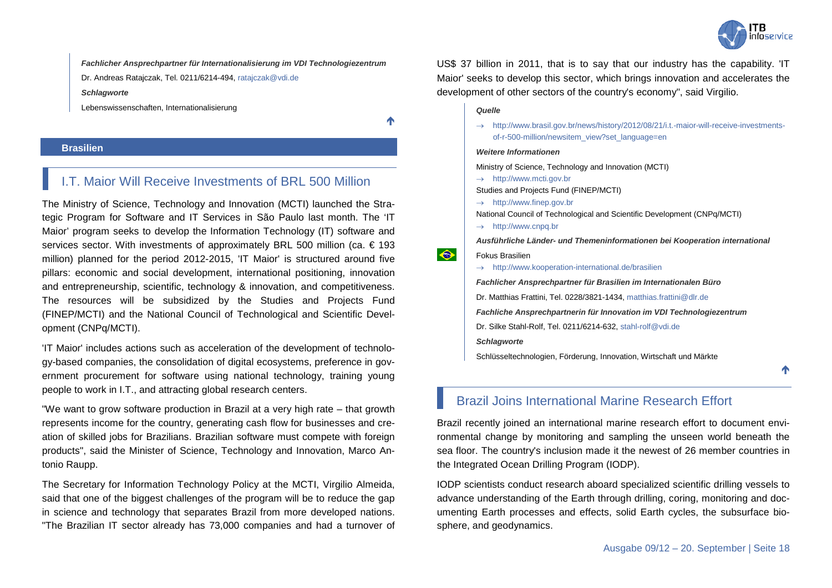

*Fachlicher Ansprechpartner für Internationalisierung im VDI Technologiezentrum*

Dr. Andreas Ratajczak, Tel. 0211/6214-494[, ratajczak@vdi.de](mailto:ratajczak@vdi.de)

#### *Schlagworte*

Lebenswissenschaften, Internationalisierung

↑

#### <span id="page-17-0"></span>**Brasilien**

### <span id="page-17-1"></span>I.T. Maior Will Receive Investments of BRL 500 Million

The Ministry of Science, Technology and Innovation (MCTI) launched the Strategic Program for Software and IT Services in São Paulo last month. The 'IT Maior' program seeks to develop the Information Technology (IT) software and services sector. With investments of approximately BRL 500 million (ca. € 193 million) planned for the period 2012-2015, 'IT Maior' is structured around five pillars: economic and social development, international positioning, innovation and entrepreneurship, scientific, technology & innovation, and competitiveness. The resources will be subsidized by the Studies and Projects Fund (FINEP/MCTI) and the National Council of Technological and Scientific Development (CNPq/MCTI).

'IT Maior' includes actions such as acceleration of the development of technology-based companies, the consolidation of digital ecosystems, preference in government procurement for software using national technology, training young people to work in I.T., and attracting global research centers.

"We want to grow software production in Brazil at a very high rate – that growth represents income for the country, generating cash flow for businesses and creation of skilled jobs for Brazilians. Brazilian software must compete with foreign products", said the Minister of Science, Technology and Innovation, Marco Antonio Raupp.

The Secretary for Information Technology Policy at the MCTI, Virgilio Almeida, said that one of the biggest challenges of the program will be to reduce the gap in science and technology that separates Brazil from more developed nations. "The Brazilian IT sector already has 73,000 companies and had a turnover of US\$ 37 billion in 2011, that is to say that our industry has the capability. 'IT Maior' seeks to develop this sector, which brings innovation and accelerates the development of other sectors of the country's economy", said Virgilio.

#### *Quelle*

→ [http://www.brasil.gov.br/news/history/2012/08/21/i.t.-maior-will-receive-investments](http://www.brasil.gov.br/news/history/2012/08/21/i.t.-maior-will-receive-investments-of-r-500-million/newsitem_view?set_language=en)[of-r-500-million/newsitem\\_view?set\\_language=en](http://www.brasil.gov.br/news/history/2012/08/21/i.t.-maior-will-receive-investments-of-r-500-million/newsitem_view?set_language=en)

#### *Weitere Informationen*

Ministry of Science, Technology and Innovation (MCTI)

 $\rightarrow$  [http://www.mcti.gov.br](http://www.mcti.gov.br/)

Studies and Projects Fund (FINEP/MCTI)

→ [http://www.finep.gov.br](http://www.finep.gov.br/)

National Council of Technological and Scientific Development (CNPq/MCTI)

 $\rightarrow$  [http://www.cnpq.br](http://www.cnpq.br/)

*Ausführliche Länder- und Themeninformationen bei Kooperation international*

#### Fokus Brasilien

 $\hat{\bullet}$ 

 $\rightarrow$  <http://www.kooperation-international.de/brasilien>

*Fachlicher Ansprechpartner für Brasilien im Internationalen Büro*

Dr. Matthias Frattini, Tel. 0228/3821-1434[, matthias.frattini@dlr.de](mailto:matthias.frattini@dlr.de)

*Fachliche Ansprechpartnerin für Innovation im VDI Technologiezentrum*

Dr. Silke Stahl-Rolf, Tel. 0211/6214-632, [stahl-rolf@vdi.de](mailto:stahl-rolf@vdi.de)

*Schlagworte*

Schlüsseltechnologien, Förderung, Innovation, Wirtschaft und Märkte

### <span id="page-17-2"></span>Brazil Joins International Marine Research Effort

Brazil recently joined an international marine research effort to document environmental change by monitoring and sampling the unseen world beneath the sea floor. The country's inclusion made it the newest of 26 member countries in the Integrated Ocean Drilling Program (IODP).

IODP scientists conduct research aboard specialized scientific drilling vessels to advance understanding of the Earth through drilling, coring, monitoring and documenting Earth processes and effects, solid Earth cycles, the subsurface biosphere, and geodynamics.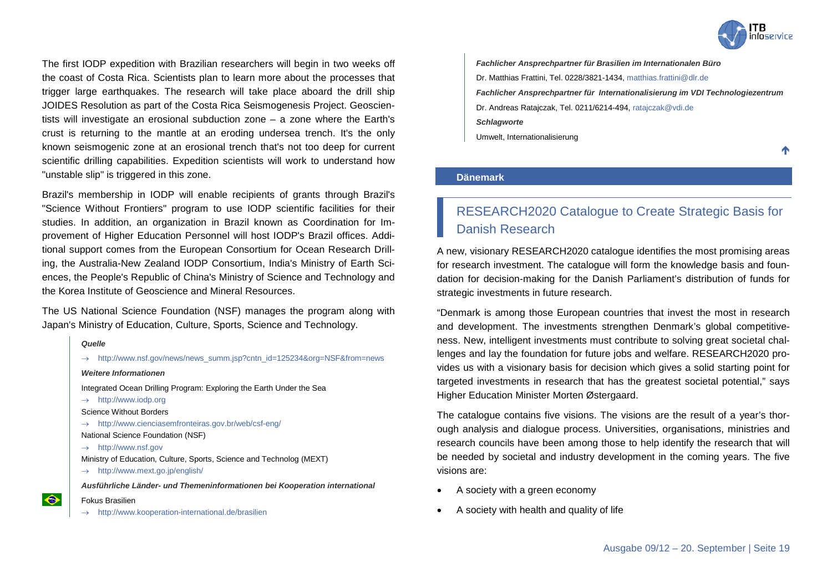

The first IODP expedition with Brazilian researchers will begin in two weeks off the coast of Costa Rica. Scientists plan to learn more about the processes that trigger large earthquakes. The research will take place aboard the drill ship JOIDES Resolution as part of the Costa Rica Seismogenesis Project. Geoscientists will investigate an erosional subduction zone – a zone where the Earth's crust is returning to the mantle at an eroding undersea trench. It's the only known seismogenic zone at an erosional trench that's not too deep for current scientific drilling capabilities. Expedition scientists will work to understand how "unstable slip" is triggered in this zone.

Brazil's membership in IODP will enable recipients of grants through Brazil's "Science Without Frontiers" program to use IODP scientific facilities for their studies. In addition, an organization in Brazil known as Coordination for Improvement of Higher Education Personnel will host IODP's Brazil offices. Additional support comes from the European Consortium for Ocean Research Drilling, the Australia-New Zealand IODP Consortium, India's Ministry of Earth Sciences, the People's Republic of China's Ministry of Science and Technology and the Korea Institute of Geoscience and Mineral Resources.

The US National Science Foundation (NSF) manages the program along with Japan's Ministry of Education, Culture, Sports, Science and Technology.



*Fachlicher Ansprechpartner für Brasilien im Internationalen Büro* Dr. Matthias Frattini, Tel. 0228/3821-1434[, matthias.frattini@dlr.de](mailto:matthias.frattini@dlr.de) *Fachlicher Ansprechpartner für Internationalisierung im VDI Technologiezentrum* Dr. Andreas Ratajczak, Tel. 0211/6214-494, [ratajczak@vdi.de](mailto:ratajczak@vdi.de) *Schlagworte* Umwelt, Internationalisierung

Λ

#### <span id="page-18-0"></span>**Dänemark**

## <span id="page-18-1"></span>RESEARCH2020 Catalogue to Create Strategic Basis for Danish Research

A new, visionary RESEARCH2020 catalogue identifies the most promising areas for research investment. The catalogue will form the knowledge basis and foundation for decision-making for the Danish Parliament's distribution of funds for strategic investments in future research.

"Denmark is among those European countries that invest the most in research and development. The investments strengthen Denmark's global competitiveness. New, intelligent investments must contribute to solving great societal challenges and lay the foundation for future jobs and welfare. RESEARCH2020 provides us with a visionary basis for decision which gives a solid starting point for targeted investments in research that has the greatest societal potential," says Higher Education Minister Morten Østergaard.

The catalogue contains five visions. The visions are the result of a year's thorough analysis and dialogue process. Universities, organisations, ministries and research councils have been among those to help identify the research that will be needed by societal and industry development in the coming years. The five visions are:

- A society with a green economy
- A society with health and quality of life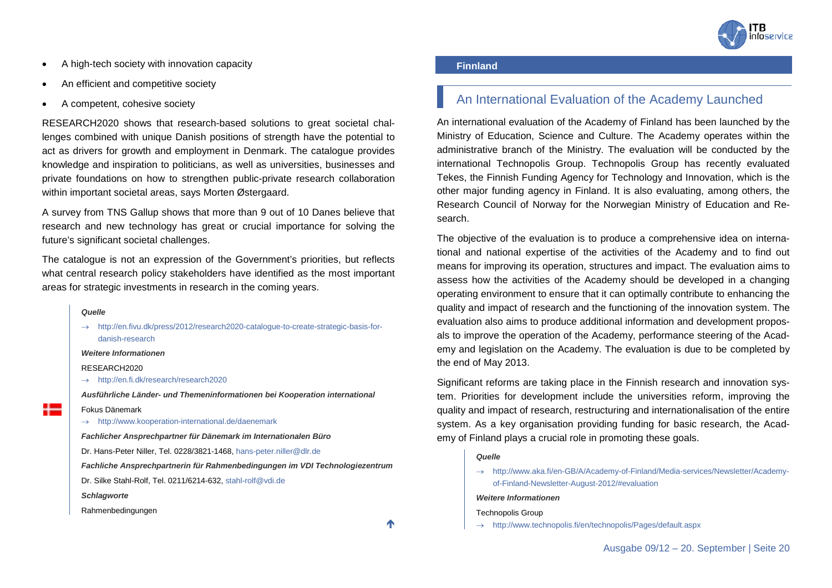

- A high-tech society with innovation capacity
- An efficient and competitive society
- A competent, cohesive society

RESEARCH2020 shows that research-based solutions to great societal challenges combined with unique Danish positions of strength have the potential to act as drivers for growth and employment in Denmark. The catalogue provides knowledge and inspiration to politicians, as well as universities, businesses and private foundations on how to strengthen public-private research collaboration within important societal areas, says Morten Østergaard.

A survey from TNS Gallup shows that more than 9 out of 10 Danes believe that research and new technology has great or crucial importance for solving the future's significant societal challenges.

The catalogue is not an expression of the Government's priorities, but reflects what central research policy stakeholders have identified as the most important areas for strategic investments in research in the coming years.

#### *Quelle*

→ [http://en.fivu.dk/press/2012/research2020-catalogue-to-create-strategic-basis-for](http://en.fivu.dk/press/2012/research2020-catalogue-to-create-strategic-basis-for-danish-research)[danish-research](http://en.fivu.dk/press/2012/research2020-catalogue-to-create-strategic-basis-for-danish-research)

#### *Weitere Informationen*

RESEARCH2020

→ <http://en.fi.dk/research/research2020>

*Ausführliche Länder- und Themeninformationen bei Kooperation international*

- Fokus Dänemark
- → <http://www.kooperation-international.de/daenemark>

*Fachlicher Ansprechpartner für Dänemark im Internationalen Büro*

Dr. Hans-Peter Niller, Tel. 0228/3821-1468, [hans-peter.niller@dlr.de](mailto:hans-peter.niller@dlr.de)

*Fachliche Ansprechpartnerin für Rahmenbedingungen im VDI Technologiezentrum*

Dr. Silke Stahl-Rolf, Tel. 0211/6214-632, [stahl-rolf@vdi.de](mailto:stahl-rolf@vdi.de)

*Schlagworte*

Rahmenbedingungen

↑

#### <span id="page-19-0"></span>**Finnland**

### <span id="page-19-1"></span>An International Evaluation of the Academy Launched

An international evaluation of the Academy of Finland has been launched by the Ministry of Education, Science and Culture. The Academy operates within the administrative branch of the Ministry. The evaluation will be conducted by the international Technopolis Group. Technopolis Group has recently evaluated Tekes, the Finnish Funding Agency for Technology and Innovation, which is the other major funding agency in Finland. It is also evaluating, among others, the Research Council of Norway for the Norwegian Ministry of Education and Research.

The objective of the evaluation is to produce a comprehensive idea on international and national expertise of the activities of the Academy and to find out means for improving its operation, structures and impact. The evaluation aims to assess how the activities of the Academy should be developed in a changing operating environment to ensure that it can optimally contribute to enhancing the quality and impact of research and the functioning of the innovation system. The evaluation also aims to produce additional information and development proposals to improve the operation of the Academy, performance steering of the Academy and legislation on the Academy. The evaluation is due to be completed by the end of May 2013.

Significant reforms are taking place in the Finnish research and innovation system. Priorities for development include the universities reform, improving the quality and impact of research, restructuring and internationalisation of the entire system. As a key organisation providing funding for basic research, the Academy of Finland plays a crucial role in promoting these goals.

#### *Quelle*

→ [http://www.aka.fi/en-GB/A/Academy-of-Finland/Media-services/Newsletter/Academy](http://www.aka.fi/en-GB/A/Academy-of-Finland/Media-services/Newsletter/Academy-of-Finland-Newsletter-August-2012/%23evaluation)[of-Finland-Newsletter-August-2012/#evaluation](http://www.aka.fi/en-GB/A/Academy-of-Finland/Media-services/Newsletter/Academy-of-Finland-Newsletter-August-2012/%23evaluation)

#### *Weitere Informationen*

Technopolis Group

→ <http://www.technopolis.fi/en/technopolis/Pages/default.aspx>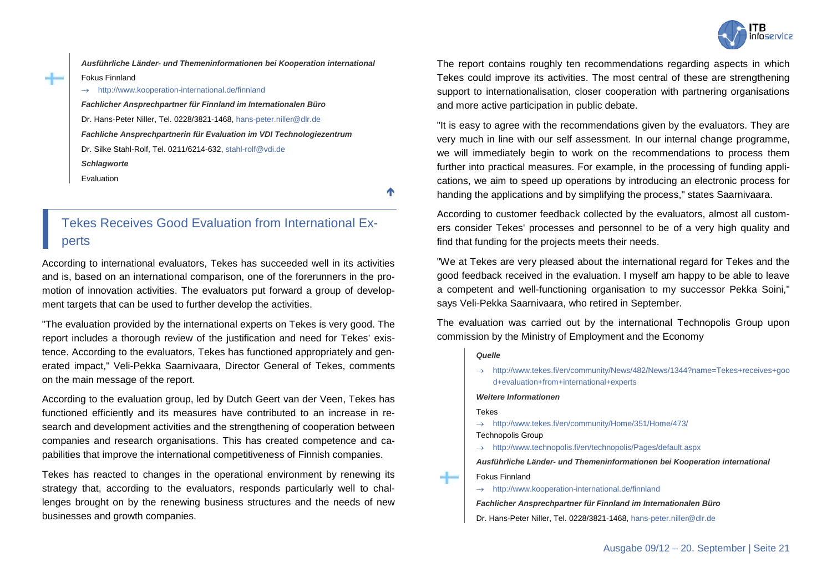

*Ausführliche Länder- und Themeninformationen bei Kooperation international* Fokus Finnland

→ <http://www.kooperation-international.de/finnland> *Fachlicher Ansprechpartner für Finnland im Internationalen Büro* Dr. Hans-Peter Niller, Tel. 0228/3821-1468, [hans-peter.niller@dlr.de](mailto:hans-peter.niller@dlr.de) *Fachliche Ansprechpartnerin für Evaluation im VDI Technologiezentrum* Dr. Silke Stahl-Rolf, Tel. 0211/6214-632, [stahl-rolf@vdi.de](mailto:stahl-rolf@vdi.de) *Schlagworte* Evaluation

↑

## <span id="page-20-0"></span>Tekes Receives Good Evaluation from International Experts

According to international evaluators, Tekes has succeeded well in its activities and is, based on an international comparison, one of the forerunners in the promotion of innovation activities. The evaluators put forward a group of development targets that can be used to further develop the activities.

"The evaluation provided by the international experts on Tekes is very good. The report includes a thorough review of the justification and need for Tekes' existence. According to the evaluators, Tekes has functioned appropriately and generated impact," Veli-Pekka Saarnivaara, Director General of Tekes, comments on the main message of the report.

According to the evaluation group, led by Dutch Geert van der Veen, Tekes has functioned efficiently and its measures have contributed to an increase in research and development activities and the strengthening of cooperation between companies and research organisations. This has created competence and capabilities that improve the international competitiveness of Finnish companies.

Tekes has reacted to changes in the operational environment by renewing its strategy that, according to the evaluators, responds particularly well to challenges brought on by the renewing business structures and the needs of new businesses and growth companies.

The report contains roughly ten recommendations regarding aspects in which Tekes could improve its activities. The most central of these are strengthening support to internationalisation, closer cooperation with partnering organisations and more active participation in public debate.

"It is easy to agree with the recommendations given by the evaluators. They are very much in line with our self assessment. In our internal change programme, we will immediately begin to work on the recommendations to process them further into practical measures. For example, in the processing of funding applications, we aim to speed up operations by introducing an electronic process for handing the applications and by simplifying the process," states Saarnivaara.

According to customer feedback collected by the evaluators, almost all customers consider Tekes' processes and personnel to be of a very high quality and find that funding for the projects meets their needs.

"We at Tekes are very pleased about the international regard for Tekes and the good feedback received in the evaluation. I myself am happy to be able to leave a competent and well-functioning organisation to my successor Pekka Soini," says Veli-Pekka Saarnivaara, who retired in September.

The evaluation was carried out by the international Technopolis Group upon commission by the Ministry of Employment and the Economy

#### *Quelle*

→ [http://www.tekes.fi/en/community/News/482/News/1344?name=Tekes+receives+goo](http://www.tekes.fi/en/community/News/482/News/1344?name=Tekes+receives+good+evaluation+from+international+experts) [d+evaluation+from+international+experts](http://www.tekes.fi/en/community/News/482/News/1344?name=Tekes+receives+good+evaluation+from+international+experts)

#### *Weitere Informationen*

- Tekes
- → <http://www.tekes.fi/en/community/Home/351/Home/473/>

Technopolis Group

→ <http://www.technopolis.fi/en/technopolis/Pages/default.aspx>

*Ausführliche Länder- und Themeninformationen bei Kooperation international* Fokus Finnland

→ <http://www.kooperation-international.de/finnland>

*Fachlicher Ansprechpartner für Finnland im Internationalen Büro*

Dr. Hans-Peter Niller, Tel. 0228/3821-1468[, hans-peter.niller@dlr.de](mailto:hans-peter.niller@dlr.de)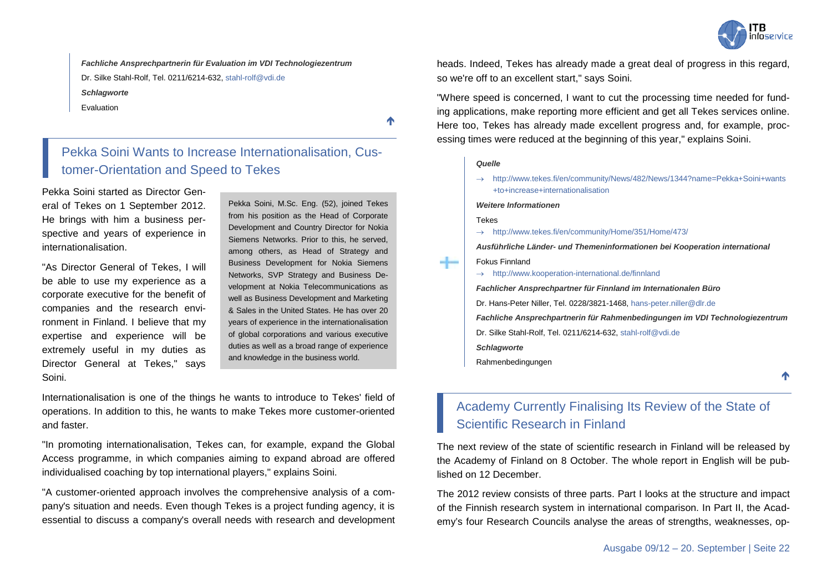

*Fachliche Ansprechpartnerin für Evaluation im VDI Technologiezentrum* Dr. Silke Stahl-Rolf, Tel. 0211/6214-632, [stahl-rolf@vdi.de](mailto:stahl-rolf@vdi.de) *Schlagworte*

Evaluation

<span id="page-21-0"></span>Pekka Soini Wants to Increase Internationalisation, Customer-Orientation and Speed to Tekes

Pekka Soini started as Director General of Tekes on 1 September 2012. He brings with him a business perspective and years of experience in internationalisation.

"As Director General of Tekes, I will be able to use my experience as a corporate executive for the benefit of companies and the research environment in Finland. I believe that my expertise and experience will be extremely useful in my duties as Director General at Tekes," says Soini.

Pekka Soini, M.Sc. Eng. (52), joined Tekes from his position as the Head of Corporate Development and Country Director for Nokia Siemens Networks. Prior to this, he served, among others, as Head of Strategy and Business Development for Nokia Siemens Networks, SVP Strategy and Business Development at Nokia Telecommunications as well as Business Development and Marketing & Sales in the United States. He has over 20 years of experience in the internationalisation of global corporations and various executive duties as well as a broad range of experience and knowledge in the business world.

Internationalisation is one of the things he wants to introduce to Tekes' field of operations. In addition to this, he wants to make Tekes more customer-oriented and faster.

"In promoting internationalisation, Tekes can, for example, expand the Global Access programme, in which companies aiming to expand abroad are offered individualised coaching by top international players," explains Soini.

"A customer-oriented approach involves the comprehensive analysis of a company's situation and needs. Even though Tekes is a project funding agency, it is essential to discuss a company's overall needs with research and development heads. Indeed, Tekes has already made a great deal of progress in this regard, so we're off to an excellent start," says Soini.

"Where speed is concerned, I want to cut the processing time needed for funding applications, make reporting more efficient and get all Tekes services online. Here too, Tekes has already made excellent progress and, for example, processing times were reduced at the beginning of this year," explains Soini.

#### *Quelle*

↑

→ [http://www.tekes.fi/en/community/News/482/News/1344?name=Pekka+Soini+wants](http://www.tekes.fi/en/community/News/482/News/1344?name=Pekka+Soini+wants+to+increase+internationalisation) [+to+increase+internationalisation](http://www.tekes.fi/en/community/News/482/News/1344?name=Pekka+Soini+wants+to+increase+internationalisation)

#### *Weitere Informationen*

Tekes

→ <http://www.tekes.fi/en/community/Home/351/Home/473/>

*Ausführliche Länder- und Themeninformationen bei Kooperation international*

#### Fokus Finnland

→ <http://www.kooperation-international.de/finnland>

*Fachlicher Ansprechpartner für Finnland im Internationalen Büro*

Dr. Hans-Peter Niller, Tel. 0228/3821-1468[, hans-peter.niller@dlr.de](mailto:hans-peter.niller@dlr.de)

*Fachliche Ansprechpartnerin für Rahmenbedingungen im VDI Technologiezentrum*

- Dr. Silke Stahl-Rolf, Tel. 0211/6214-632, [stahl-rolf@vdi.de](mailto:stahl-rolf@vdi.de)
- *Schlagworte*
- Rahmenbedingungen

↑

### <span id="page-21-1"></span>Academy Currently Finalising Its Review of the State of Scientific Research in Finland

The next review of the state of scientific research in Finland will be released by the Academy of Finland on 8 October. The whole report in English will be published on 12 December.

The 2012 review consists of three parts. Part I looks at the structure and impact of the Finnish research system in international comparison. In Part II, the Academy's four Research Councils analyse the areas of strengths, weaknesses, op-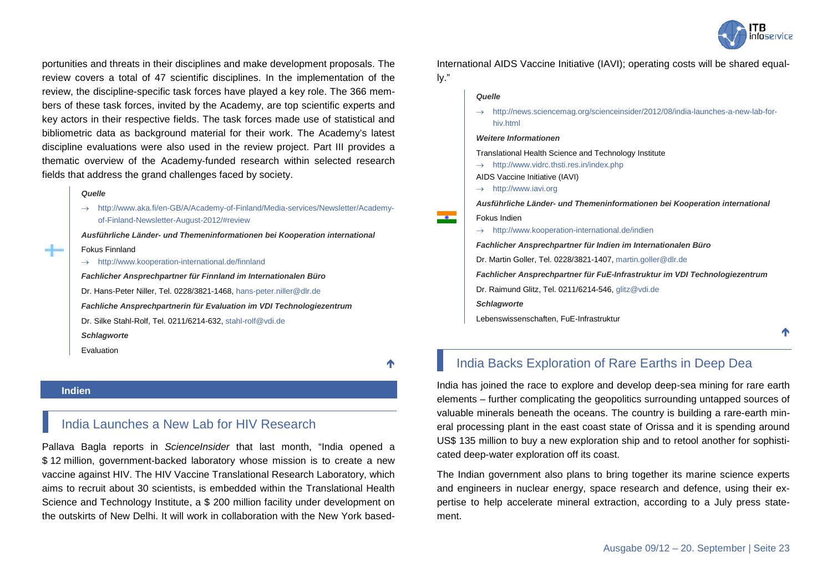

portunities and threats in their disciplines and make development proposals. The review covers a total of 47 scientific disciplines. In the implementation of the review, the discipline-specific task forces have played a key role. The 366 members of these task forces, invited by the Academy, are top scientific experts and key actors in their respective fields. The task forces made use of statistical and bibliometric data as background material for their work. The Academy's latest discipline evaluations were also used in the review project. Part III provides a thematic overview of the Academy-funded research within selected research fields that address the grand challenges faced by society.

#### *Quelle*

Fokus Finnland

→ [http://www.aka.fi/en-GB/A/Academy-of-Finland/Media-services/Newsletter/Academy](http://www.aka.fi/en-GB/A/Academy-of-Finland/Media-services/Newsletter/Academy-of-Finland-Newsletter-August-2012/%23review)[of-Finland-Newsletter-August-2012/#review](http://www.aka.fi/en-GB/A/Academy-of-Finland/Media-services/Newsletter/Academy-of-Finland-Newsletter-August-2012/%23review)

*Ausführliche Länder- und Themeninformationen bei Kooperation international*

→ <http://www.kooperation-international.de/finnland>

*Fachlicher Ansprechpartner für Finnland im Internationalen Büro* Dr. Hans-Peter Niller, Tel. 0228/3821-1468, [hans-peter.niller@dlr.de](mailto:hans-peter.niller@dlr.de) *Fachliche Ansprechpartnerin für Evaluation im VDI Technologiezentrum* Dr. Silke Stahl-Rolf, Tel. 0211/6214-632, [stahl-rolf@vdi.de](mailto:stahl-rolf@vdi.de) *Schlagworte* Evaluation

↑

#### <span id="page-22-0"></span>**Indien**

### <span id="page-22-1"></span>India Launches a New Lab for HIV Research

Pallava Bagla reports in *ScienceInsider* that last month, "India opened a \$ 12 million, government-backed laboratory whose mission is to create a new vaccine against HIV. The HIV Vaccine Translational Research Laboratory, which aims to recruit about 30 scientists, is embedded within the Translational Health Science and Technology Institute, a \$ 200 million facility under development on the outskirts of New Delhi. It will work in collaboration with the New York based-

International AIDS Vaccine Initiative (IAVI); operating costs will be shared equally."

#### *Quelle*

→ [http://news.sciencemag.org/scienceinsider/2012/08/india-launches-a-new-lab-for](http://news.sciencemag.org/scienceinsider/2012/08/india-launches-a-new-lab-for-hiv.html)[hiv.html](http://news.sciencemag.org/scienceinsider/2012/08/india-launches-a-new-lab-for-hiv.html)

#### *Weitere Informationen*

Translational Health Science and Technology Institute

 $\rightarrow$  <http://www.vidrc.thsti.res.in/index.php>

AIDS Vaccine Initiative (IAVI)

 $\rightarrow$  [http://www.iavi.org](http://www.iavi.org/)

*Ausführliche Länder- und Themeninformationen bei Kooperation international*

- Fokus Indien
- $\rightarrow$  <http://www.kooperation-international.de/indien>

*Fachlicher Ansprechpartner für Indien im Internationalen Büro* Dr. Martin Goller, Tel. 0228/3821-1407[, martin.goller@dlr.de](mailto:martin.goller@dlr.de) *Fachlicher Ansprechpartner für FuE-Infrastruktur im VDI Technologiezentrum* Dr. Raimund Glitz, Tel. 0211/6214-546[, glitz@vdi.de](mailto:glitz@vdi.de) *Schlagworte*

Lebenswissenschaften, FuE-Infrastruktur

### <span id="page-22-2"></span>India Backs Exploration of Rare Earths in Deep Dea

India has joined the race to explore and develop deep-sea mining for rare earth elements – further complicating the geopolitics surrounding untapped sources of valuable minerals beneath the oceans. The country is building a rare-earth mineral processing plant in the east coast state of Orissa and it is spending around US\$ 135 million to buy a new exploration ship and to retool another for sophisticated deep-water exploration off its coast.

The Indian government also plans to bring together its marine science experts and engineers in nuclear energy, space research and defence, using their expertise to help accelerate mineral extraction, according to a July press statement.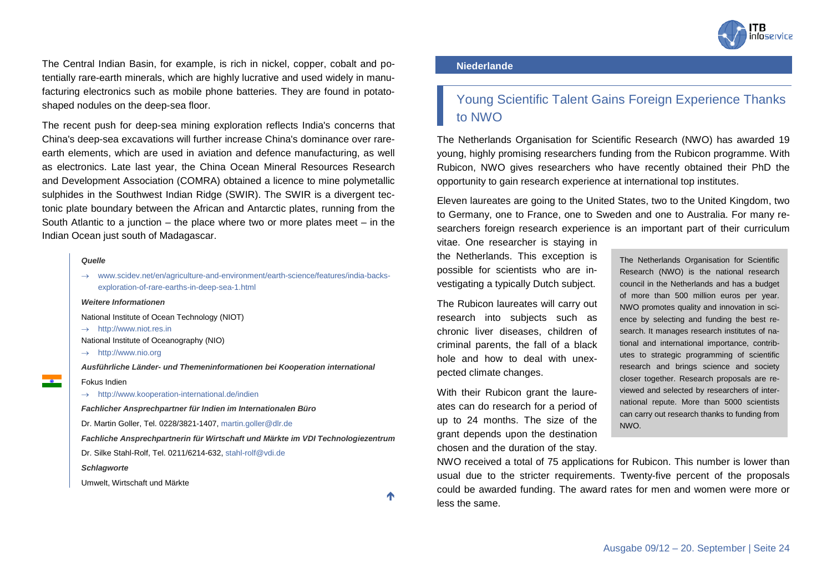

The Central Indian Basin, for example, is rich in nickel, copper, cobalt and potentially rare-earth minerals, which are highly lucrative and used widely in manufacturing electronics such as mobile phone batteries. They are found in potatoshaped nodules on the deep-sea floor.

The recent push for deep-sea mining exploration reflects India's concerns that China's deep-sea excavations will further increase China's dominance over rareearth elements, which are used in aviation and defence manufacturing, as well as electronics. Late last year, the China Ocean Mineral Resources Research and Development Association (COMRA) obtained a licence to mine polymetallic sulphides in the Southwest Indian Ridge (SWIR). The SWIR is a divergent tectonic plate boundary between the African and Antarctic plates, running from the South Atlantic to a junction – the place where two or more plates meet  $-$  in the Indian Ocean just south of Madagascar.

#### *Quelle*

→ [www.scidev.net/en/agriculture-and-environment/earth-science/features/india-backs](http://www.scidev.net/en/agriculture-and-environment/earth-science/features/india-backs-exploration-of-rare-earths-in-deep-sea-1.html)[exploration-of-rare-earths-in-deep-sea-1.html](http://www.scidev.net/en/agriculture-and-environment/earth-science/features/india-backs-exploration-of-rare-earths-in-deep-sea-1.html)

#### *Weitere Informationen*

- National Institute of Ocean Technology (NIOT)
- → [http://www.niot.res.in](http://www.niot.res.in/)
- National Institute of Oceanography (NIO)
- → [http://www.nio.org](http://www.nio.org/)

*Ausführliche Länder- und Themeninformationen bei Kooperation international*

#### Fokus Indien

 $\rightarrow$  <http://www.kooperation-international.de/indien>

*Fachlicher Ansprechpartner für Indien im Internationalen Büro*

Dr. Martin Goller, Tel. 0228/3821-1407[, martin.goller@dlr.de](mailto:martin.goller@dlr.de)

*Fachliche Ansprechpartnerin für Wirtschaft und Märkte im VDI Technologiezentrum*

Dr. Silke Stahl-Rolf, Tel. 0211/6214-632, [stahl-rolf@vdi.de](mailto:stahl-rolf@vdi.de)

#### *Schlagworte*

Umwelt, Wirtschaft und Märkte

↑

#### <span id="page-23-0"></span>**Niederlande**

### <span id="page-23-1"></span>Young Scientific Talent Gains Foreign Experience Thanks to NWO

The Netherlands Organisation for Scientific Research (NWO) has awarded 19 young, highly promising researchers funding from the Rubicon programme. With Rubicon, NWO gives researchers who have recently obtained their PhD the opportunity to gain research experience at international top institutes.

Eleven laureates are going to the United States, two to the United Kingdom, two to Germany, one to France, one to Sweden and one to Australia. For many researchers foreign research experience is an important part of their curriculum

vitae. One researcher is staying in the Netherlands. This exception is possible for scientists who are investigating a typically Dutch subject.

The Rubicon laureates will carry out research into subjects such as chronic liver diseases, children of criminal parents, the fall of a black hole and how to deal with unexpected climate changes.

With their Rubicon grant the laureates can do research for a period of up to 24 months. The size of the grant depends upon the destination chosen and the duration of the stay.

The Netherlands Organisation for Scientific Research (NWO) is the national research council in the Netherlands and has a budget of more than 500 million euros per year. NWO promotes quality and innovation in science by selecting and funding the best research. It manages research institutes of national and international importance, contributes to strategic programming of scientific research and brings science and society closer together. Research proposals are reviewed and selected by researchers of international repute. More than 5000 scientists can carry out research thanks to funding from NWO.

NWO received a total of 75 applications for Rubicon. This number is lower than usual due to the stricter requirements. Twenty-five percent of the proposals could be awarded funding. The award rates for men and women were more or less the same.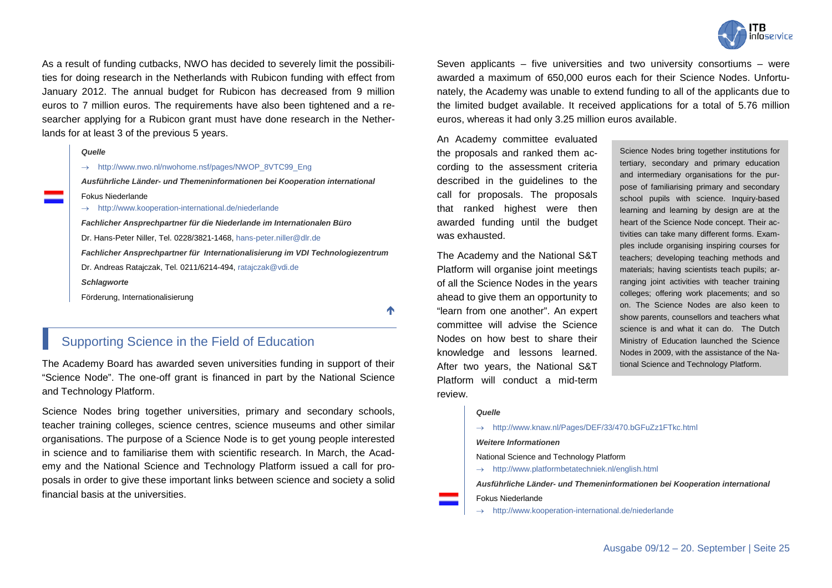

As a result of funding cutbacks, NWO has decided to severely limit the possibilities for doing research in the Netherlands with Rubicon funding with effect from January 2012. The annual budget for Rubicon has decreased from 9 million euros to 7 million euros. The requirements have also been tightened and a researcher applying for a Rubicon grant must have done research in the Netherlands for at least 3 of the previous 5 years.



#### → [http://www.nwo.nl/nwohome.nsf/pages/NWOP\\_8VTC99\\_Eng](http://www.nwo.nl/nwohome.nsf/pages/NWOP_8VTC99_Eng)

*Ausführliche Länder- und Themeninformationen bei Kooperation international* Fokus Niederlande

→ <http://www.kooperation-international.de/niederlande>

*Fachlicher Ansprechpartner für die Niederlande im Internationalen Büro* Dr. Hans-Peter Niller, Tel. 0228/3821-1468, [hans-peter.niller@dlr.de](mailto:hans-peter.niller@dlr.de) *Fachlicher Ansprechpartner für Internationalisierung im VDI Technologiezentrum* Dr. Andreas Ratajczak, Tel. 0211/6214-494[, ratajczak@vdi.de](mailto:ratajczak@vdi.de) *Schlagworte* Förderung, Internationalisierung

不

### <span id="page-24-0"></span>Supporting Science in the Field of Education

The Academy Board has awarded seven universities funding in support of their "Science Node". The one-off grant is financed in part by the National Science and Technology Platform.

Science Nodes bring together universities, primary and secondary schools, teacher training colleges, science centres, science museums and other similar organisations. The purpose of a Science Node is to get young people interested in science and to familiarise them with scientific research. In March, the Academy and the National Science and Technology Platform issued a call for proposals in order to give these important links between science and society a solid financial basis at the universities.

Seven applicants – five universities and two university consortiums – were awarded a maximum of 650,000 euros each for their Science Nodes. Unfortunately, the Academy was unable to extend funding to all of the applicants due to the limited budget available. It received applications for a total of 5.76 million euros, whereas it had only 3.25 million euros available.

An Academy committee evaluated the proposals and ranked them according to the assessment criteria described in the guidelines to the call for proposals. The proposals that ranked highest were then awarded funding until the budget was exhausted.

The Academy and the National S&T Platform will organise joint meetings of all the Science Nodes in the years ahead to give them an opportunity to "learn from one another". An expert committee will advise the Science Nodes on how best to share their knowledge and lessons learned. After two years, the National S&T Platform will conduct a mid-term review.

Science Nodes bring together institutions for tertiary, secondary and primary education and intermediary organisations for the purpose of familiarising primary and secondary school pupils with science. Inquiry-based learning and learning by design are at the heart of the Science Node concept. Their activities can take many different forms. Examples include organising inspiring courses for teachers; developing teaching methods and materials; having scientists teach pupils; arranging joint activities with teacher training colleges; offering work placements; and so on. The Science Nodes are also keen to show parents, counsellors and teachers what science is and what it can do. The Dutch Ministry of Education launched the Science Nodes in 2009, with the assistance of the National Science and Technology Platform.

#### *Quelle*

→ <http://www.knaw.nl/Pages/DEF/33/470.bGFuZz1FTkc.html>

#### *Weitere Informationen*

National Science and Technology Platform

→ <http://www.platformbetatechniek.nl/english.html>

*Ausführliche Länder- und Themeninformationen bei Kooperation international*

#### Fokus Niederlande

→ <http://www.kooperation-international.de/niederlande>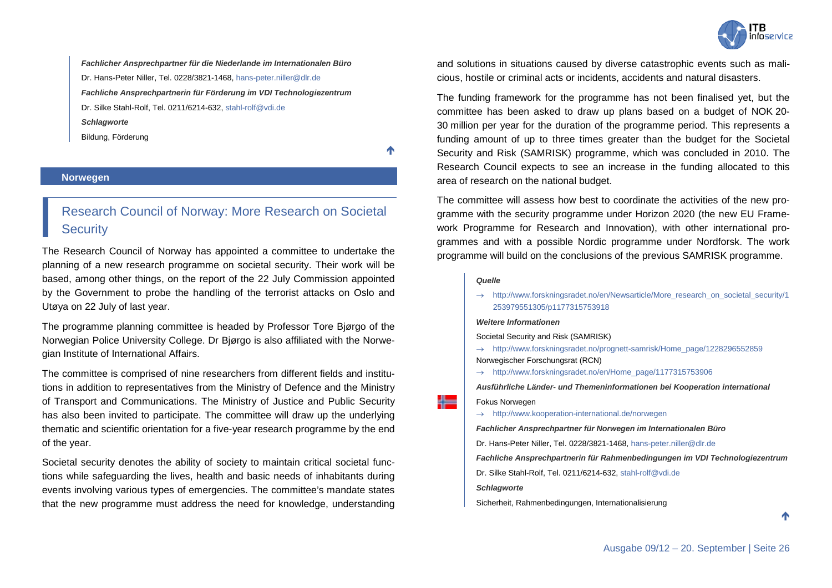

*Fachlicher Ansprechpartner für die Niederlande im Internationalen Büro* Dr. Hans-Peter Niller, Tel. 0228/3821-1468, [hans-peter.niller@dlr.de](mailto:hans-peter.niller@dlr.de) *Fachliche Ansprechpartnerin für Förderung im VDI Technologiezentrum* Dr. Silke Stahl-Rolf, Tel. 0211/6214-632, [stahl-rolf@vdi.de](mailto:stahl-rolf@vdi.de) *Schlagworte* Bildung, Förderung

小

#### <span id="page-25-0"></span>**Norwegen**

### <span id="page-25-1"></span>Research Council of Norway: More Research on Societal **Security**

The Research Council of Norway has appointed a committee to undertake the planning of a new research programme on societal security. Their work will be based, among other things, on the report of the 22 July Commission appointed by the Government to probe the handling of the terrorist attacks on Oslo and Utøya on 22 July of last year.

The programme planning committee is headed by Professor Tore Bjørgo of the Norwegian Police University College. Dr Bjørgo is also affiliated with the Norwegian Institute of International Affairs.

The committee is comprised of nine researchers from different fields and institutions in addition to representatives from the Ministry of Defence and the Ministry of Transport and Communications. The Ministry of Justice and Public Security has also been invited to participate. The committee will draw up the underlying thematic and scientific orientation for a five-year research programme by the end of the year.

Societal security denotes the ability of society to maintain critical societal functions while safeguarding the lives, health and basic needs of inhabitants during events involving various types of emergencies. The committee's mandate states that the new programme must address the need for knowledge, understanding and solutions in situations caused by diverse catastrophic events such as malicious, hostile or criminal acts or incidents, accidents and natural disasters.

The funding framework for the programme has not been finalised yet, but the committee has been asked to draw up plans based on a budget of NOK 20- 30 million per year for the duration of the programme period. This represents a funding amount of up to three times greater than the budget for the Societal Security and Risk (SAMRISK) programme, which was concluded in 2010. The Research Council expects to see an increase in the funding allocated to this area of research on the national budget.

The committee will assess how best to coordinate the activities of the new programme with the security programme under Horizon 2020 (the new EU Framework Programme for Research and Innovation), with other international programmes and with a possible Nordic programme under Nordforsk. The work programme will build on the conclusions of the previous SAMRISK programme.

#### *Quelle*

라는

→ [http://www.forskningsradet.no/en/Newsarticle/More\\_research\\_on\\_societal\\_security/1](http://www.forskningsradet.no/en/Newsarticle/More_research_on_societal_security/1253979551305/p1177315753918) [253979551305/p1177315753918](http://www.forskningsradet.no/en/Newsarticle/More_research_on_societal_security/1253979551305/p1177315753918)

#### *Weitere Informationen*

Societal Security and Risk (SAMRISK)

- → [http://www.forskningsradet.no/prognett-samrisk/Home\\_page/1228296552859](http://www.forskningsradet.no/prognett-samrisk/Home_page/1228296552859) Norwegischer Forschungsrat (RCN)
- → [http://www.forskningsradet.no/en/Home\\_page/1177315753906](http://www.forskningsradet.no/en/Home_page/1177315753906)

*Ausführliche Länder- und Themeninformationen bei Kooperation international* Fokus Norwegen

→ <http://www.kooperation-international.de/norwegen>

*Fachlicher Ansprechpartner für Norwegen im Internationalen Büro*

Dr. Hans-Peter Niller, Tel. 0228/3821-1468[, hans-peter.niller@dlr.de](mailto:hans-peter.niller@dlr.de)

*Fachliche Ansprechpartnerin für Rahmenbedingungen im VDI Technologiezentrum*

Dr. Silke Stahl-Rolf, Tel. 0211/6214-632, [stahl-rolf@vdi.de](mailto:stahl-rolf@vdi.de)

*Schlagworte*

Sicherheit, Rahmenbedingungen, Internationalisierung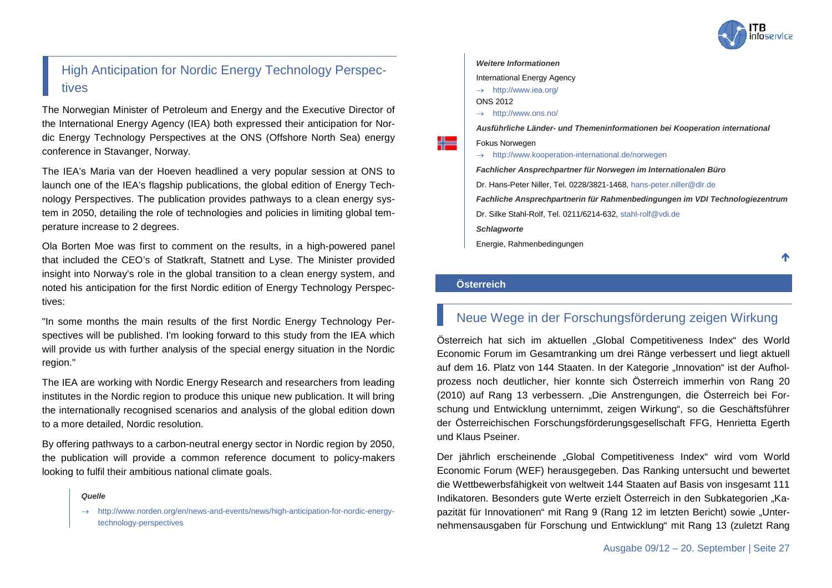

### <span id="page-26-0"></span>High Anticipation for Nordic Energy Technology Perspectives

The Norwegian Minister of Petroleum and Energy and the Executive Director of the International Energy Agency (IEA) both expressed their anticipation for Nordic Energy Technology Perspectives at the ONS (Offshore North Sea) energy conference in Stavanger, Norway.

The IEA's Maria van der Hoeven headlined a very popular session at ONS to launch one of the IEA's flagship publications, the global edition of Energy Technology Perspectives. The publication provides pathways to a clean energy system in 2050, detailing the role of technologies and policies in limiting global temperature increase to 2 degrees.

Ola Borten Moe was first to comment on the results, in a high-powered panel that included the CEO's of Statkraft, Statnett and Lyse. The Minister provided insight into Norway's role in the global transition to a clean energy system, and noted his anticipation for the first Nordic edition of Energy Technology Perspectives:

"In some months the main results of the first Nordic Energy Technology Perspectives will be published. I'm looking forward to this study from the IEA which will provide us with further analysis of the special energy situation in the Nordic region."

The IEA are working with Nordic Energy Research and researchers from leading institutes in the Nordic region to produce this unique new publication. It will bring the internationally recognised scenarios and analysis of the global edition down to a more detailed, Nordic resolution.

By offering pathways to a carbon-neutral energy sector in Nordic region by 2050, the publication will provide a common reference document to policy-makers looking to fulfil their ambitious national climate goals.

#### *Quelle*

#### *Weitere Informationen*

International Energy Agency

- → <http://www.iea.org/>
- ONS 2012
- → <http://www.ons.no/>

*Ausführliche Länder- und Themeninformationen bei Kooperation international*

#### Fokus Norwegen

→ <http://www.kooperation-international.de/norwegen>

*Fachlicher Ansprechpartner für Norwegen im Internationalen Büro*

Dr. Hans-Peter Niller, Tel. 0228/3821-1468[, hans-peter.niller@dlr.de](mailto:hans-peter.niller@dlr.de)

*Fachliche Ansprechpartnerin für Rahmenbedingungen im VDI Technologiezentrum* Dr. Silke Stahl-Rolf, Tel. 0211/6214-632, [stahl-rolf@vdi.de](mailto:stahl-rolf@vdi.de)

*Schlagworte*

Energie, Rahmenbedingungen

↑

#### <span id="page-26-1"></span>**Österreich**

### <span id="page-26-2"></span>Neue Wege in der Forschungsförderung zeigen Wirkung

Österreich hat sich im aktuellen "Global Competitiveness Index" des World Economic Forum im Gesamtranking um drei Ränge verbessert und liegt aktuell auf dem 16. Platz von 144 Staaten. In der Kategorie "Innovation" ist der Aufholprozess noch deutlicher, hier konnte sich Österreich immerhin von Rang 20 (2010) auf Rang 13 verbessern. "Die Anstrengungen, die Österreich bei Forschung und Entwicklung unternimmt, zeigen Wirkung", so die Geschäftsführer der Österreichischen Forschungsförderungsgesellschaft FFG, Henrietta Egerth und Klaus Pseiner.

Der jährlich erscheinende "Global Competitiveness Index" wird vom World Economic Forum (WEF) herausgegeben. Das Ranking untersucht und bewertet die Wettbewerbsfähigkeit von weltweit 144 Staaten auf Basis von insgesamt 111 Indikatoren. Besonders gute Werte erzielt Österreich in den Subkategorien "Kapazität für Innovationen" mit Rang 9 (Rang 12 im letzten Bericht) sowie "Unternehmensausgaben für Forschung und Entwicklung" mit Rang 13 (zuletzt Rang

[http://www.norden.org/en/news-and-events/news/high-anticipation-for-nordic-energy](http://www.norden.org/en/news-and-events/news/high-anticipation-for-nordic-energy-technology-perspectives)[technology-perspectives](http://www.norden.org/en/news-and-events/news/high-anticipation-for-nordic-energy-technology-perspectives)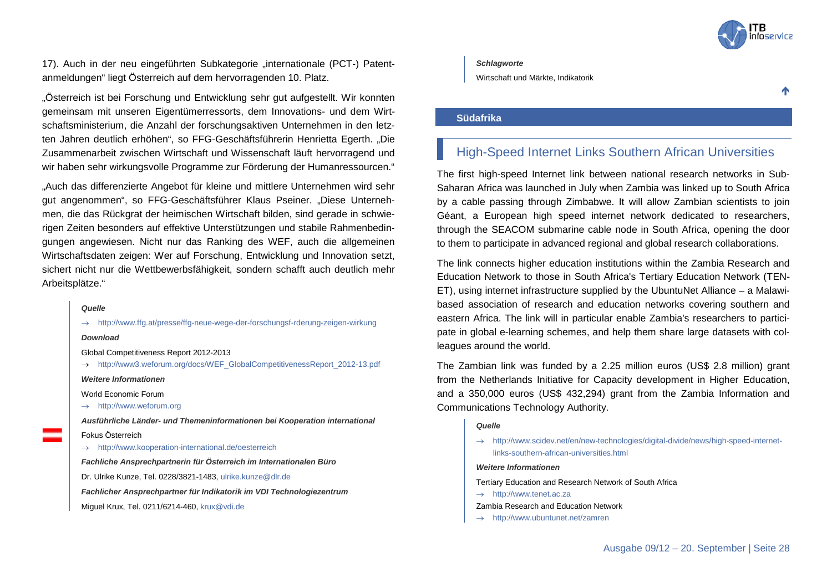

17). Auch in der neu eingeführten Subkategorie "internationale (PCT-) Patentanmeldungen" liegt Österreich auf dem hervorragenden 10. Platz.

"Österreich ist bei Forschung und Entwicklung sehr gut aufgestellt. Wir konnten gemeinsam mit unseren Eigentümerressorts, dem Innovations- und dem Wirtschaftsministerium, die Anzahl der forschungsaktiven Unternehmen in den letzten Jahren deutlich erhöhen", so FFG-Geschäftsführerin Henrietta Egerth. "Die Zusammenarbeit zwischen Wirtschaft und Wissenschaft läuft hervorragend und wir haben sehr wirkungsvolle Programme zur Förderung der Humanressourcen."

"Auch das differenzierte Angebot für kleine und mittlere Unternehmen wird sehr gut angenommen", so FFG-Geschäftsführer Klaus Pseiner. "Diese Unternehmen, die das Rückgrat der heimischen Wirtschaft bilden, sind gerade in schwierigen Zeiten besonders auf effektive Unterstützungen und stabile Rahmenbedingungen angewiesen. Nicht nur das Ranking des WEF, auch die allgemeinen Wirtschaftsdaten zeigen: Wer auf Forschung, Entwicklung und Innovation setzt, sichert nicht nur die Wettbewerbsfähigkeit, sondern schafft auch deutlich mehr Arbeitsplätze."

#### *Quelle*

<http://www.ffg.at/presse/ffg-neue-wege-der-forschungsf-rderung-zeigen-wirkung>

#### *Download*

Global Competitiveness Report 2012-2013

→ [http://www3.weforum.org/docs/WEF\\_GlobalCompetitivenessReport\\_2012-13.pdf](http://www3.weforum.org/docs/WEF_GlobalCompetitivenessReport_2012-13.pdf)

*Weitere Informationen*

World Economic Forum

→ [http://www.weforum.org](http://www.weforum.org/)

*Ausführliche Länder- und Themeninformationen bei Kooperation international* Fokus Österreich

→ <http://www.kooperation-international.de/oesterreich>

*Fachliche Ansprechpartnerin für Österreich im Internationalen Büro* Dr. Ulrike Kunze, Tel. 0228/3821-1483, [ulrike.kunze@dlr.de](mailto:ulrike.kunze@dlr.de)

*Fachlicher Ansprechpartner für Indikatorik im VDI Technologiezentrum*

Miguel Krux, Tel. 0211/6214-460, [krux@vdi.de](mailto:krux@vdi.de)

#### *Schlagworte*

Wirtschaft und Märkte, Indikatorik

↑

#### <span id="page-27-0"></span>**Südafrika**

### <span id="page-27-1"></span>High-Speed Internet Links Southern African Universities

The first high-speed Internet link between national research networks in Sub-Saharan Africa was launched in July when Zambia was linked up to South Africa by a cable passing through Zimbabwe. It will allow Zambian scientists to join Géant, a European high speed internet network dedicated to researchers, through the SEACOM submarine cable node in South Africa, opening the door to them to participate in advanced regional and global research collaborations.

The link connects higher education institutions within the Zambia Research and Education Network to those in South Africa's Tertiary Education Network (TEN-ET), using internet infrastructure supplied by the UbuntuNet Alliance – a Malawibased association of research and education networks covering southern and eastern Africa. The link will in particular enable Zambia's researchers to participate in global e-learning schemes, and help them share large datasets with colleagues around the world.

The Zambian link was funded by a 2.25 million euros (US\$ 2.8 million) grant from the Netherlands Initiative for Capacity development in Higher Education, and a 350,000 euros (US\$ 432,294) grant from the Zambia Information and Communications Technology Authority.

#### *Quelle*

→ [http://www.scidev.net/en/new-technologies/digital-divide/news/high-speed-internet](http://www.scidev.net/en/new-technologies/digital-divide/news/high-speed-internet-links-southern-african-universities.html)[links-southern-african-universities.html](http://www.scidev.net/en/new-technologies/digital-divide/news/high-speed-internet-links-southern-african-universities.html)

#### *Weitere Informationen*

Tertiary Education and Research Network of South Africa

- → [http://www.tenet.ac.za](http://www.tenet.ac.za/)
- Zambia Research and Education Network
- → <http://www.ubuntunet.net/zamren>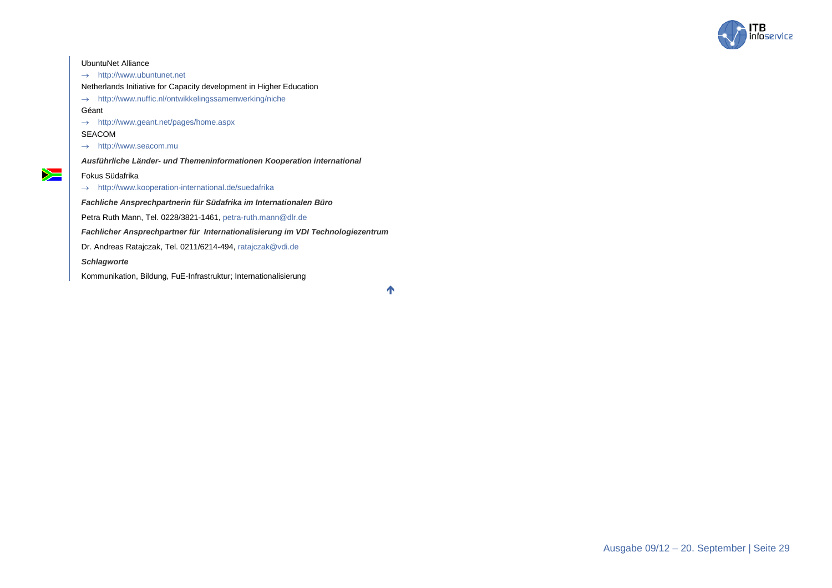

### UbuntuNet Alliance → [http://www.ubuntunet.net](http://www.ubuntunet.net/) Netherlands Initiative for Capacity development in Higher Education → <http://www.nuffic.nl/ontwikkelingssamenwerking/niche> Géant → <http://www.geant.net/pages/home.aspx> SEACOM → [http://www.seacom.mu](http://www.seacom.mu/) *Ausführliche Länder- und Themeninformationen Kooperation international*  $\sum$ Fokus Südafrika → <http://www.kooperation-international.de/suedafrika> *Fachliche Ansprechpartnerin für Südafrika im Internationalen Büro* Petra Ruth Mann, Tel. 0228/3821-1461[, petra-ruth.mann@dlr.de](mailto:petra-ruth.mann@dlr.de) *Fachlicher Ansprechpartner für Internationalisierung im VDI Technologiezentrum* Dr. Andreas Ratajczak, Tel. 0211/6214-494[, ratajczak@vdi.de](mailto:ratajczak@vdi.de) *Schlagworte*

Kommunikation, Bildung, FuE-Infrastruktur; Internationalisierung

 $\blacklozenge$